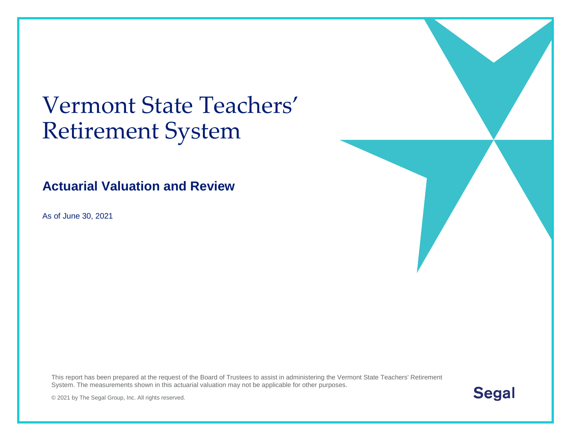# Vermont State Teachers' Retirement System

### **Actuarial Valuation and Review**

As of June 30, 2021

This report has been prepared at the request of the Board of Trustees to assist in administering the Vermont State Teachers' Retirement System. The measurements shown in this actuarial valuation may not be applicable for other purposes.



© 2021 by The Segal Group, Inc. All rights reserved.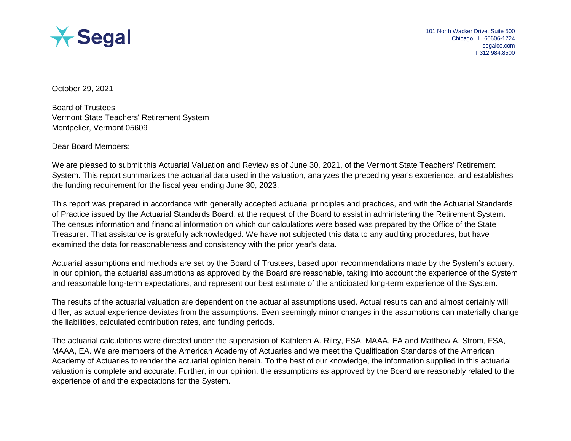

October 29, 2021

Board of Trustees Vermont State Teachers' Retirement System Montpelier, Vermont 05609

Dear Board Members:

We are pleased to submit this Actuarial Valuation and Review as of June 30, 2021, of the Vermont State Teachers' Retirement System. This report summarizes the actuarial data used in the valuation, analyzes the preceding year's experience, and establishes the funding requirement for the fiscal year ending June 30, 2023.

This report was prepared in accordance with generally accepted actuarial principles and practices, and with the Actuarial Standards of Practice issued by the Actuarial Standards Board, at the request of the Board to assist in administering the Retirement System. The census information and financial information on which our calculations were based was prepared by the Office of the State Treasurer. That assistance is gratefully acknowledged. We have not subjected this data to any auditing procedures, but have examined the data for reasonableness and consistency with the prior year's data.

Actuarial assumptions and methods are set by the Board of Trustees, based upon recommendations made by the System's actuary. In our opinion, the actuarial assumptions as approved by the Board are reasonable, taking into account the experience of the System and reasonable long-term expectations, and represent our best estimate of the anticipated long-term experience of the System.

The results of the actuarial valuation are dependent on the actuarial assumptions used. Actual results can and almost certainly will differ, as actual experience deviates from the assumptions. Even seemingly minor changes in the assumptions can materially change the liabilities, calculated contribution rates, and funding periods.

The actuarial calculations were directed under the supervision of Kathleen A. Riley, FSA, MAAA, EA and Matthew A. Strom, FSA, MAAA, EA. We are members of the American Academy of Actuaries and we meet the Qualification Standards of the American Academy of Actuaries to render the actuarial opinion herein. To the best of our knowledge, the information supplied in this actuarial valuation is complete and accurate. Further, in our opinion, the assumptions as approved by the Board are reasonably related to the experience of and the expectations for the System.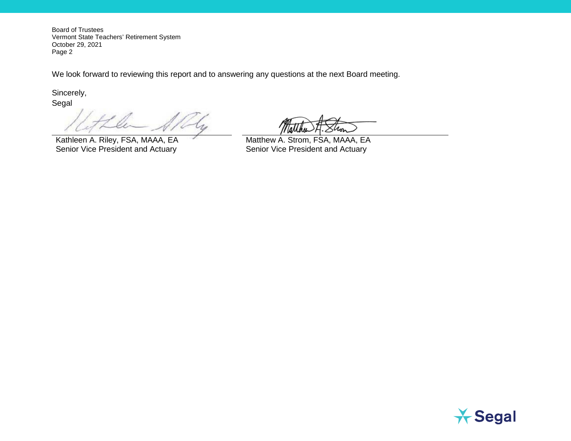Board of Trustees Vermont State Teachers' Retirement System October 29, 2021 Page 2

We look forward to reviewing this report and to answering any questions at the next Board meeting.

Sincerely,

Segal

Kathleen A. Riley, FSA, MAAA, EA Matthew A. Strom, FSA, MAAA, EA Senior Vice President and Actuary Senior Vice President and Actuary

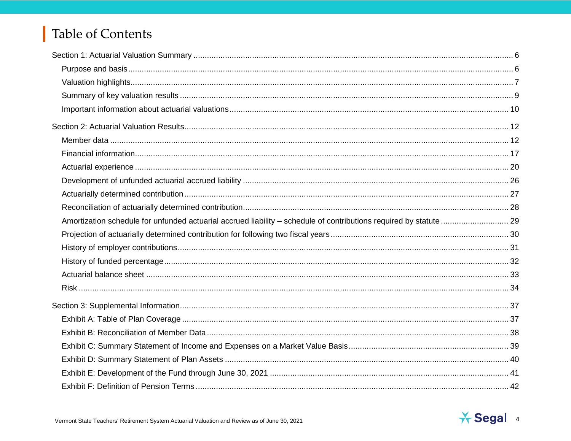# Table of Contents

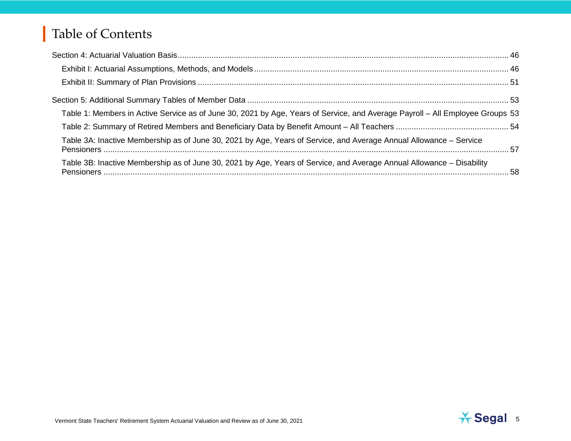# Table of Contents

| Table 1: Members in Active Service as of June 30, 2021 by Age, Years of Service, and Average Payroll - All Employee Groups 53 |  |
|-------------------------------------------------------------------------------------------------------------------------------|--|
|                                                                                                                               |  |
| Table 3A: Inactive Membership as of June 30, 2021 by Age, Years of Service, and Average Annual Allowance - Service            |  |
| Table 3B: Inactive Membership as of June 30, 2021 by Age, Years of Service, and Average Annual Allowance - Disability         |  |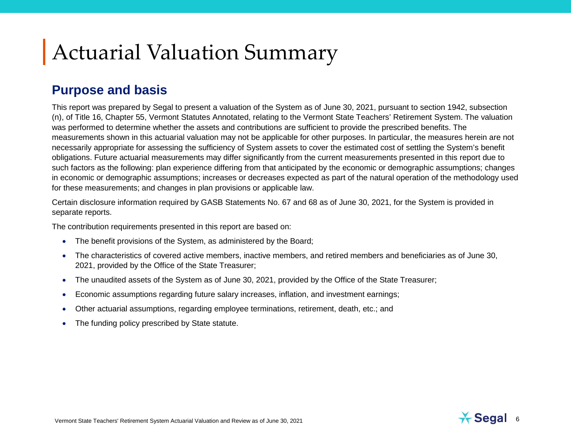# Actuarial Valuation Summary

#### **Purpose and basis**

This report was prepared by Segal to present a valuation of the System as of June 30, 2021, pursuant to section 1942, subsection (n), of Title 16, Chapter 55, Vermont Statutes Annotated, relating to the Vermont State Teachers' Retirement System. The valuation was performed to determine whether the assets and contributions are sufficient to provide the prescribed benefits. The measurements shown in this actuarial valuation may not be applicable for other purposes. In particular, the measures herein are not necessarily appropriate for assessing the sufficiency of System assets to cover the estimated cost of settling the System's benefit obligations. Future actuarial measurements may differ significantly from the current measurements presented in this report due to such factors as the following: plan experience differing from that anticipated by the economic or demographic assumptions; changes in economic or demographic assumptions; increases or decreases expected as part of the natural operation of the methodology used for these measurements; and changes in plan provisions or applicable law.

Certain disclosure information required by GASB Statements No. 67 and 68 as of June 30, 2021, for the System is provided in separate reports.

The contribution requirements presented in this report are based on:

- The benefit provisions of the System, as administered by the Board;
- The characteristics of covered active members, inactive members, and retired members and beneficiaries as of June 30, 2021, provided by the Office of the State Treasurer;
- The unaudited assets of the System as of June 30, 2021, provided by the Office of the State Treasurer;
- Economic assumptions regarding future salary increases, inflation, and investment earnings;
- Other actuarial assumptions, regarding employee terminations, retirement, death, etc.; and
- The funding policy prescribed by State statute.

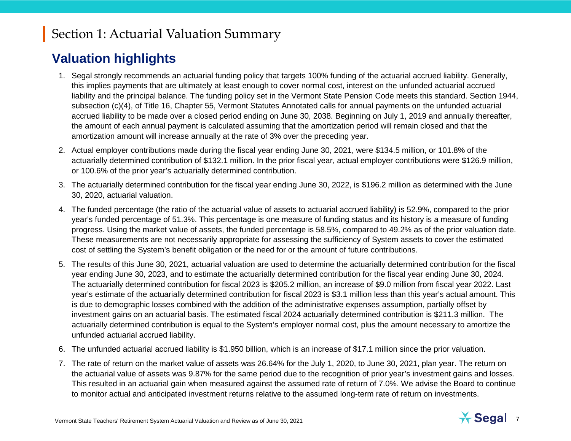#### **Valuation highlights**

- 1. Segal strongly recommends an actuarial funding policy that targets 100% funding of the actuarial accrued liability. Generally, this implies payments that are ultimately at least enough to cover normal cost, interest on the unfunded actuarial accrued liability and the principal balance. The funding policy set in the Vermont State Pension Code meets this standard. Section 1944, subsection (c)(4), of Title 16, Chapter 55, Vermont Statutes Annotated calls for annual payments on the unfunded actuarial accrued liability to be made over a closed period ending on June 30, 2038. Beginning on July 1, 2019 and annually thereafter, the amount of each annual payment is calculated assuming that the amortization period will remain closed and that the amortization amount will increase annually at the rate of 3% over the preceding year.
- 2. Actual employer contributions made during the fiscal year ending June 30, 2021, were \$134.5 million, or 101.8% of the actuarially determined contribution of \$132.1 million. In the prior fiscal year, actual employer contributions were \$126.9 million, or 100.6% of the prior year's actuarially determined contribution.
- 3. The actuarially determined contribution for the fiscal year ending June 30, 2022, is \$196.2 million as determined with the June 30, 2020, actuarial valuation.
- 4. The funded percentage (the ratio of the actuarial value of assets to actuarial accrued liability) is 52.9%, compared to the prior year's funded percentage of 51.3%. This percentage is one measure of funding status and its history is a measure of funding progress. Using the market value of assets, the funded percentage is 58.5%, compared to 49.2% as of the prior valuation date. These measurements are not necessarily appropriate for assessing the sufficiency of System assets to cover the estimated cost of settling the System's benefit obligation or the need for or the amount of future contributions.
- 5. The results of this June 30, 2021, actuarial valuation are used to determine the actuarially determined contribution for the fiscal year ending June 30, 2023, and to estimate the actuarially determined contribution for the fiscal year ending June 30, 2024. The actuarially determined contribution for fiscal 2023 is \$205.2 million, an increase of \$9.0 million from fiscal year 2022. Last year's estimate of the actuarially determined contribution for fiscal 2023 is \$3.1 million less than this year's actual amount. This is due to demographic losses combined with the addition of the administrative expenses assumption, partially offset by investment gains on an actuarial basis. The estimated fiscal 2024 actuarially determined contribution is \$211.3 million. The actuarially determined contribution is equal to the System's employer normal cost, plus the amount necessary to amortize the unfunded actuarial accrued liability.
- 6. The unfunded actuarial accrued liability is \$1.950 billion, which is an increase of \$17.1 million since the prior valuation.
- 7. The rate of return on the market value of assets was 26.64% for the July 1, 2020, to June 30, 2021, plan year. The return on the actuarial value of assets was 9.87% for the same period due to the recognition of prior year's investment gains and losses. This resulted in an actuarial gain when measured against the assumed rate of return of 7.0%. We advise the Board to continue to monitor actual and anticipated investment returns relative to the assumed long-term rate of return on investments.

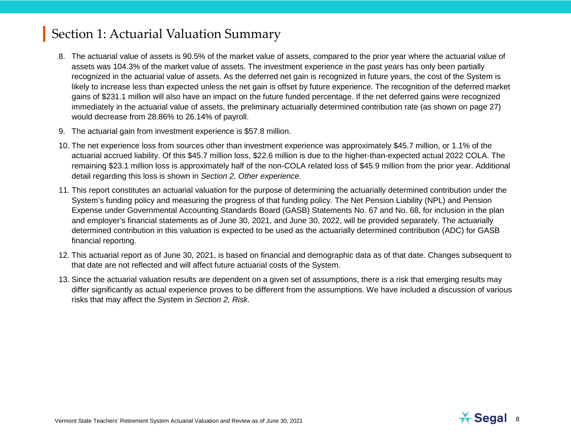- 8. The actuarial value of assets is 90.5% of the market value of assets, compared to the prior year where the actuarial value of assets was 104.3% of the market value of assets. The investment experience in the past years has only been partially recognized in the actuarial value of assets. As the deferred net gain is recognized in future years, the cost of the System is likely to increase less than expected unless the net gain is offset by future experience. The recognition of the deferred market gains of \$231.1 million will also have an impact on the future funded percentage. If the net deferred gains were recognized immediately in the actuarial value of assets, the preliminary actuarially determined contribution rate (as shown on page 27) would decrease from 28.86% to 26.14% of payroll.
- 9. The actuarial gain from investment experience is \$57.8 million.
- 10. The net experience loss from sources other than investment experience was approximately \$45.7 million, or 1.1% of the actuarial accrued liability. Of this \$45.7 million loss, \$22.6 million is due to the higher-than-expected actual 2022 COLA. The remaining \$23.1 million loss is approximately half of the non-COLA related loss of \$45.9 million from the prior year. Additional detail regarding this loss is shown in *Section 2, Other experience*.
- 11. This report constitutes an actuarial valuation for the purpose of determining the actuarially determined contribution under the System's funding policy and measuring the progress of that funding policy. The Net Pension Liability (NPL) and Pension Expense under Governmental Accounting Standards Board (GASB) Statements No. 67 and No. 68, for inclusion in the plan and employer's financial statements as of June 30, 2021, and June 30, 2022, will be provided separately. The actuarially determined contribution in this valuation is expected to be used as the actuarially determined contribution (ADC) for GASB financial reporting.
- 12. This actuarial report as of June 30, 2021, is based on financial and demographic data as of that date. Changes subsequent to that date are not reflected and will affect future actuarial costs of the System.
- 13. Since the actuarial valuation results are dependent on a given set of assumptions, there is a risk that emerging results may differ significantly as actual experience proves to be different from the assumptions. We have included a discussion of various risks that may affect the System in *Section 2, Risk*.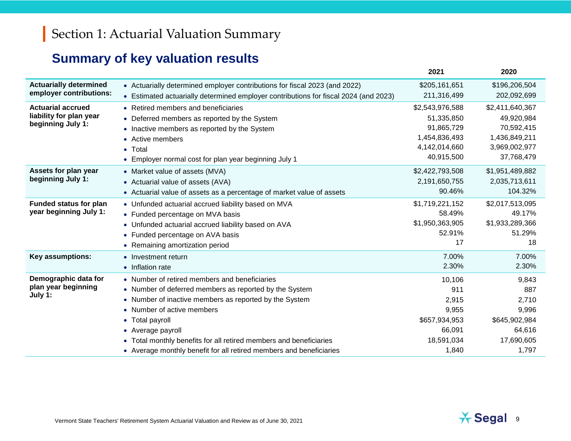## **Summary of key valuation results**

|                               |                                                                                      | 2021            | 2020            |
|-------------------------------|--------------------------------------------------------------------------------------|-----------------|-----------------|
| <b>Actuarially determined</b> | • Actuarially determined employer contributions for fiscal 2023 (and 2022)           | \$205,161,651   | \$196,206,504   |
| employer contributions:       | • Estimated actuarially determined employer contributions for fiscal 2024 (and 2023) | 211,316,499     | 202,092,699     |
| <b>Actuarial accrued</b>      | • Retired members and beneficiaries                                                  | \$2,543,976,588 | \$2,411,640,367 |
| liability for plan year       | • Deferred members as reported by the System                                         | 51,335,850      | 49,920,984      |
| beginning July 1:             | • Inactive members as reported by the System                                         | 91,865,729      | 70,592,415      |
|                               | • Active members                                                                     | 1,454,836,493   | 1,436,849,211   |
|                               | $\bullet$ Total                                                                      | 4,142,014,660   | 3,969,002,977   |
|                               | • Employer normal cost for plan year beginning July 1                                | 40,915,500      | 37,768,479      |
| Assets for plan year          | • Market value of assets (MVA)                                                       | \$2,422,793,508 | \$1,951,489,882 |
| beginning July 1:             | • Actuarial value of assets (AVA)                                                    | 2,191,650,755   | 2,035,713,611   |
|                               | • Actuarial value of assets as a percentage of market value of assets                | 90.46%          | 104.32%         |
| <b>Funded status for plan</b> | • Unfunded actuarial accrued liability based on MVA                                  | \$1,719,221,152 | \$2,017,513,095 |
| year beginning July 1:        | • Funded percentage on MVA basis                                                     | 58.49%          | 49.17%          |
|                               | • Unfunded actuarial accrued liability based on AVA                                  | \$1,950,363,905 | \$1,933,289,366 |
|                               | • Funded percentage on AVA basis                                                     | 52.91%          | 51.29%          |
|                               | • Remaining amortization period                                                      | 17              | 18              |
| Key assumptions:              | • Investment return                                                                  | 7.00%           | 7.00%           |
|                               | • Inflation rate                                                                     | 2.30%           | 2.30%           |
| Demographic data for          | • Number of retired members and beneficiaries                                        | 10,106          | 9,843           |
| plan year beginning           | • Number of deferred members as reported by the System                               | 911             | 887             |
| July 1:                       | • Number of inactive members as reported by the System                               | 2,915           | 2,710           |
|                               | • Number of active members                                                           | 9,955           | 9,996           |
|                               | Total payroll                                                                        | \$657,934,953   | \$645,902,984   |
|                               | • Average payroll                                                                    | 66,091          | 64,616          |
|                               | • Total monthly benefits for all retired members and beneficiaries                   | 18,591,034      | 17,690,605      |
|                               | • Average monthly benefit for all retired members and beneficiaries                  | 1,840           | 1,797           |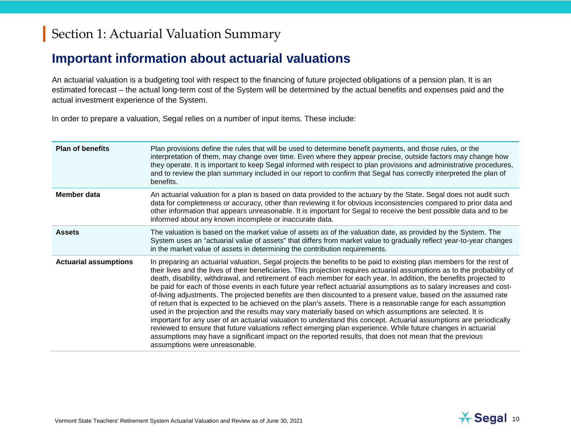#### **Important information about actuarial valuations**

An actuarial valuation is a budgeting tool with respect to the financing of future projected obligations of a pension plan. It is an estimated forecast – the actual long-term cost of the System will be determined by the actual benefits and expenses paid and the actual investment experience of the System.

In order to prepare a valuation, Segal relies on a number of input items. These include:

| <b>Plan of benefits</b>      | Plan provisions define the rules that will be used to determine benefit payments, and those rules, or the<br>interpretation of them, may change over time. Even where they appear precise, outside factors may change how<br>they operate. It is important to keep Segal informed with respect to plan provisions and administrative procedures,<br>and to review the plan summary included in our report to confirm that Segal has correctly interpreted the plan of<br>benefits.                                                                                                                                                                                                                                                                                                                                                                                                                                                                                                                                                                                                                                                                                                                                                     |
|------------------------------|----------------------------------------------------------------------------------------------------------------------------------------------------------------------------------------------------------------------------------------------------------------------------------------------------------------------------------------------------------------------------------------------------------------------------------------------------------------------------------------------------------------------------------------------------------------------------------------------------------------------------------------------------------------------------------------------------------------------------------------------------------------------------------------------------------------------------------------------------------------------------------------------------------------------------------------------------------------------------------------------------------------------------------------------------------------------------------------------------------------------------------------------------------------------------------------------------------------------------------------|
| Member data                  | An actuarial valuation for a plan is based on data provided to the actuary by the State. Segal does not audit such<br>data for completeness or accuracy, other than reviewing it for obvious inconsistencies compared to prior data and<br>other information that appears unreasonable. It is important for Segal to receive the best possible data and to be<br>informed about any known incomplete or inaccurate data.                                                                                                                                                                                                                                                                                                                                                                                                                                                                                                                                                                                                                                                                                                                                                                                                               |
| <b>Assets</b>                | The valuation is based on the market value of assets as of the valuation date, as provided by the System. The<br>System uses an "actuarial value of assets" that differs from market value to gradually reflect year-to-year changes<br>in the market value of assets in determining the contribution requirements.                                                                                                                                                                                                                                                                                                                                                                                                                                                                                                                                                                                                                                                                                                                                                                                                                                                                                                                    |
| <b>Actuarial assumptions</b> | In preparing an actuarial valuation, Segal projects the benefits to be paid to existing plan members for the rest of<br>their lives and the lives of their beneficiaries. This projection requires actuarial assumptions as to the probability of<br>death, disability, withdrawal, and retirement of each member for each year. In addition, the benefits projected to<br>be paid for each of those events in each future year reflect actuarial assumptions as to salary increases and cost-<br>of-living adjustments. The projected benefits are then discounted to a present value, based on the assumed rate<br>of return that is expected to be achieved on the plan's assets. There is a reasonable range for each assumption<br>used in the projection and the results may vary materially based on which assumptions are selected. It is<br>important for any user of an actuarial valuation to understand this concept. Actuarial assumptions are periodically<br>reviewed to ensure that future valuations reflect emerging plan experience. While future changes in actuarial<br>assumptions may have a significant impact on the reported results, that does not mean that the previous<br>assumptions were unreasonable. |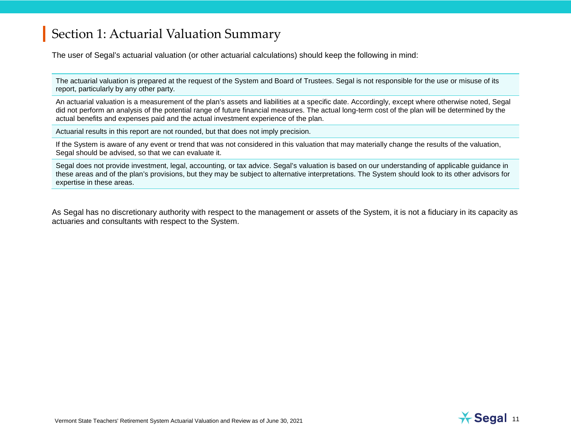The user of Segal's actuarial valuation (or other actuarial calculations) should keep the following in mind:

The actuarial valuation is prepared at the request of the System and Board of Trustees. Segal is not responsible for the use or misuse of its report, particularly by any other party.

An actuarial valuation is a measurement of the plan's assets and liabilities at a specific date. Accordingly, except where otherwise noted, Segal did not perform an analysis of the potential range of future financial measures. The actual long-term cost of the plan will be determined by the actual benefits and expenses paid and the actual investment experience of the plan.

Actuarial results in this report are not rounded, but that does not imply precision.

If the System is aware of any event or trend that was not considered in this valuation that may materially change the results of the valuation, Segal should be advised, so that we can evaluate it.

Segal does not provide investment, legal, accounting, or tax advice. Segal's valuation is based on our understanding of applicable guidance in these areas and of the plan's provisions, but they may be subject to alternative interpretations. The System should look to its other advisors for expertise in these areas.

As Segal has no discretionary authority with respect to the management or assets of the System, it is not a fiduciary in its capacity as actuaries and consultants with respect to the System.

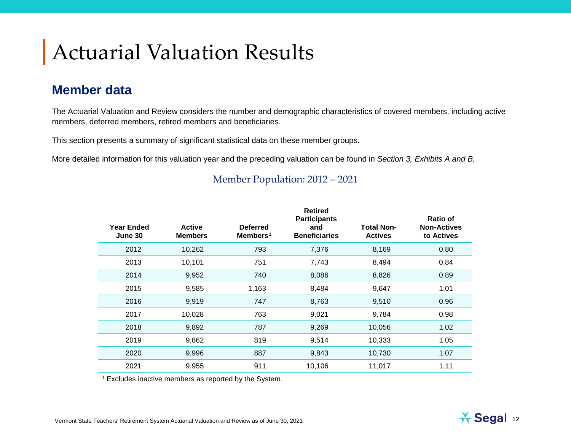# Actuarial Valuation Results

#### **Member data**

The Actuarial Valuation and Review considers the number and demographic characteristics of covered members, including active members, deferred members, retired members and beneficiaries.

This section presents a summary of significant statistical data on these member groups.

More detailed information for this valuation year and the preceding valuation can be found in *Section 3, Exhibits A and B.*

| <b>Year Ended</b><br>June 30 | <b>Active</b><br><b>Members</b> | <b>Deferred</b><br>Members <sup>1</sup> | <b>Retired</b><br><b>Participants</b><br>and<br><b>Beneficiaries</b> | <b>Total Non-</b><br><b>Actives</b> | <b>Ratio of</b><br><b>Non-Actives</b><br>to Actives |
|------------------------------|---------------------------------|-----------------------------------------|----------------------------------------------------------------------|-------------------------------------|-----------------------------------------------------|
| 2012                         | 10,262                          | 793                                     | 7,376                                                                | 8,169                               | 0.80                                                |
| 2013                         | 10,101                          | 751                                     | 7,743                                                                | 8,494                               | 0.84                                                |
| 2014                         | 9,952                           | 740                                     | 8,086                                                                | 8,826                               | 0.89                                                |
| 2015                         | 9,585                           | 1,163                                   | 8,484                                                                | 9,647                               | 1.01                                                |
| 2016                         | 9,919                           | 747                                     | 8,763                                                                | 9,510                               | 0.96                                                |
| 2017                         | 10,028                          | 763                                     | 9,021                                                                | 9,784                               | 0.98                                                |
| 2018                         | 9,892                           | 787                                     | 9,269                                                                | 10,056                              | 1.02                                                |
| 2019                         | 9,862                           | 819                                     | 9,514                                                                | 10,333                              | 1.05                                                |
| 2020                         | 9,996                           | 887                                     | 9,843                                                                | 10,730                              | 1.07                                                |
| 2021                         | 9,955                           | 911                                     | 10,106                                                               | 11,017                              | 1.11                                                |

#### <span id="page-11-0"></span>Member Population: 2012 – 2021

<sup>1</sup> Excludes inactive members as reported by the System.

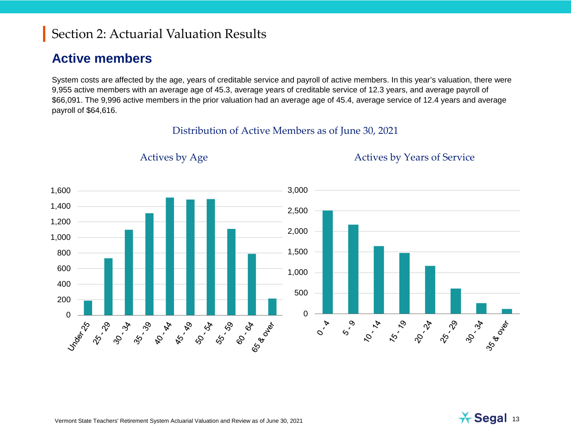#### **Active members**

System costs are affected by the age, years of creditable service and payroll of active members. In this year's valuation, there were 9,955 active members with an average age of 45.3, average years of creditable service of 12.3 years, and average payroll of \$66,091. The 9,996 active members in the prior valuation had an average age of 45.4, average service of 12.4 years and average payroll of \$64,616.

#### Distribution of Active Members as of June 30, 2021



#### Actives by Age Actives by Years of Service

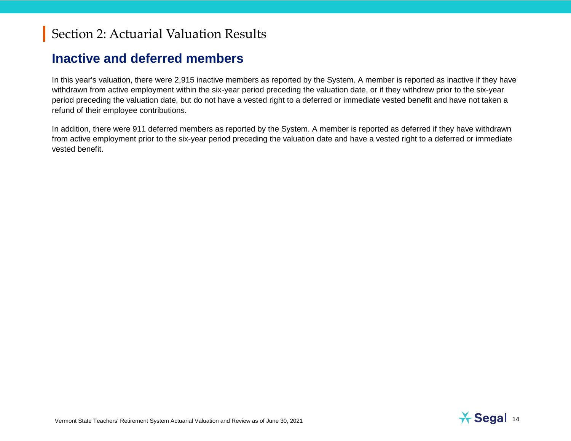#### **Inactive and deferred members**

In this year's valuation, there were 2,915 inactive members as reported by the System. A member is reported as inactive if they have withdrawn from active employment within the six-year period preceding the valuation date, or if they withdrew prior to the six-year period preceding the valuation date, but do not have a vested right to a deferred or immediate vested benefit and have not taken a refund of their employee contributions.

In addition, there were 911 deferred members as reported by the System. A member is reported as deferred if they have withdrawn from active employment prior to the six-year period preceding the valuation date and have a vested right to a deferred or immediate vested benefit.

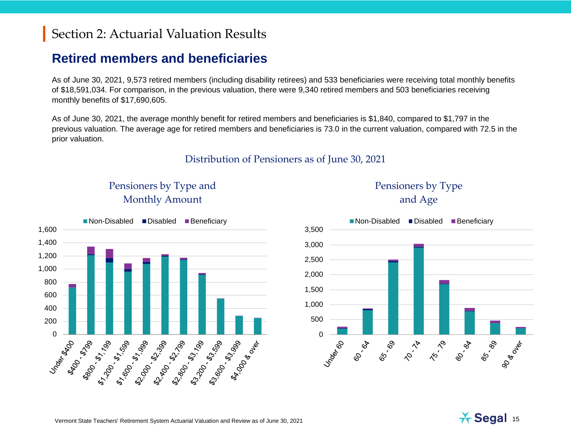#### **Retired members and beneficiaries**

As of June 30, 2021, 9,573 retired members (including disability retirees) and 533 beneficiaries were receiving total monthly benefits of \$18,591,034. For comparison, in the previous valuation, there were 9,340 retired members and 503 beneficiaries receiving monthly benefits of \$17,690,605.

As of June 30, 2021, the average monthly benefit for retired members and beneficiaries is \$1,840, compared to \$1,797 in the previous valuation. The average age for retired members and beneficiaries is 73.0 in the current valuation, compared with 72.5 in the prior valuation.

#### Distribution of Pensioners as of June 30, 2021



Under Rand

ASO 1.8190

**ARD (2019)** 

200 400 600 800 1,000 1,200 1,400 1,600





#### Pensioners by Type and Age

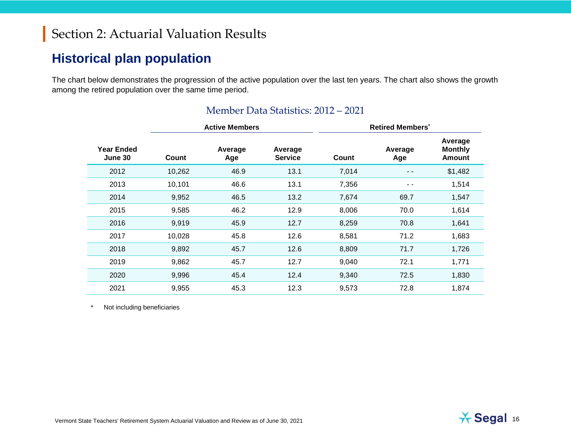#### **Historical plan population**

The chart below demonstrates the progression of the active population over the last ten years. The chart also shows the growth among the retired population over the same time period.

|                              |        | <b>Active Members</b> |                           | <b>Retired Members<sup>*</sup></b> |                |                                            |
|------------------------------|--------|-----------------------|---------------------------|------------------------------------|----------------|--------------------------------------------|
| <b>Year Ended</b><br>June 30 | Count  | Average<br>Age        | Average<br><b>Service</b> | Count                              | Average<br>Age | Average<br><b>Monthly</b><br><b>Amount</b> |
| 2012                         | 10,262 | 46.9                  | 13.1                      | 7,014                              | $ -$           | \$1,482                                    |
| 2013                         | 10,101 | 46.6                  | 13.1                      | 7,356                              | $ -$           | 1,514                                      |
| 2014                         | 9,952  | 46.5                  | 13.2                      | 7,674                              | 69.7           | 1,547                                      |
| 2015                         | 9,585  | 46.2                  | 12.9                      | 8,006                              | 70.0           | 1,614                                      |
| 2016                         | 9,919  | 45.9                  | 12.7                      | 8,259                              | 70.8           | 1,641                                      |
| 2017                         | 10,028 | 45.8                  | 12.6                      | 8,581                              | 71.2           | 1,683                                      |
| 2018                         | 9,892  | 45.7                  | 12.6                      | 8,809                              | 71.7           | 1,726                                      |
| 2019                         | 9,862  | 45.7                  | 12.7                      | 9,040                              | 72.1           | 1,771                                      |
| 2020                         | 9,996  | 45.4                  | 12.4                      | 9,340                              | 72.5           | 1,830                                      |
| 2021                         | 9,955  | 45.3                  | 12.3                      | 9,573                              | 72.8           | 1,874                                      |

#### Member Data Statistics: 2012 – 2021

\* Not including beneficiaries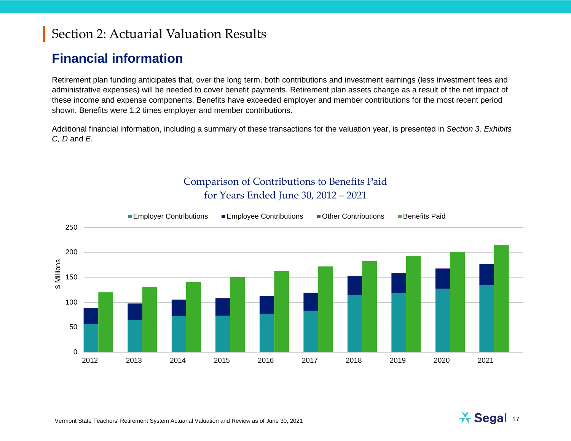#### **Financial information**

Retirement plan funding anticipates that, over the long term, both contributions and investment earnings (less investment fees and administrative expenses) will be needed to cover benefit payments. Retirement plan assets change as a result of the net impact of these income and expense components. Benefits have exceeded employer and member contributions for the most recent period shown. Benefits were 1.2 times employer and member contributions.

Additional financial information, including a summary of these transactions for the valuation year, is presented in *Section 3, Exhibits C, D* and *E*.



Comparison of Contributions to Benefits Paid for Years Ended June 30, 2012 – 2021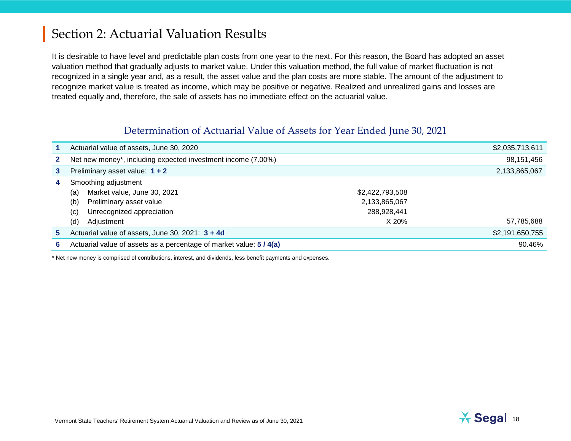It is desirable to have level and predictable plan costs from one year to the next. For this reason, the Board has adopted an asset valuation method that gradually adjusts to market value. Under this valuation method, the full value of market fluctuation is not recognized in a single year and, as a result, the asset value and the plan costs are more stable. The amount of the adjustment to recognize market value is treated as income, which may be positive or negative. Realized and unrealized gains and losses are treated equally and, therefore, the sale of assets has no immediate effect on the actuarial value.

#### Determination of Actuarial Value of Assets for Year Ended June 30, 2021

|              | Actuarial value of assets, June 30, 2020                            |                 | \$2,035,713,611 |
|--------------|---------------------------------------------------------------------|-----------------|-----------------|
| $\mathbf{2}$ | Net new money*, including expected investment income (7.00%)        |                 | 98,151,456      |
| 3            | Preliminary asset value: $1 + 2$                                    |                 | 2,133,865,067   |
| 4            | Smoothing adjustment                                                |                 |                 |
|              | Market value, June 30, 2021<br>(a)                                  | \$2,422,793,508 |                 |
|              | (b)<br>Preliminary asset value                                      | 2,133,865,067   |                 |
|              | Unrecognized appreciation<br>(c)                                    | 288,928,441     |                 |
|              | (d)<br>Adjustment                                                   | X 20%           | 57,785,688      |
| 5.           | Actuarial value of assets, June 30, 2021: 3 + 4d                    |                 | \$2,191,650,755 |
| 6            | Actuarial value of assets as a percentage of market value: 5 / 4(a) |                 | 90.46%          |

\* Net new money is comprised of contributions, interest, and dividends, less benefit payments and expenses.

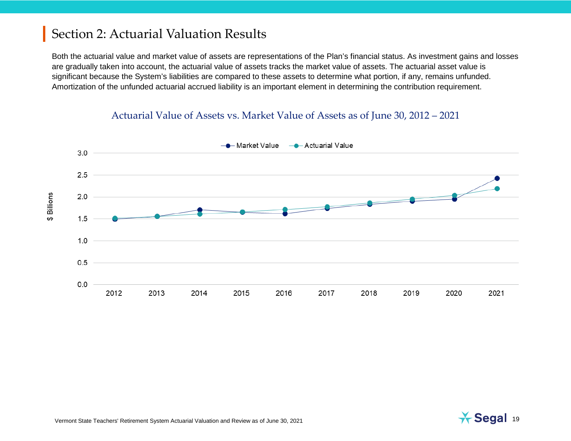Both the actuarial value and market value of assets are representations of the Plan's financial status. As investment gains and losses are gradually taken into account, the actuarial value of assets tracks the market value of assets. The actuarial asset value is significant because the System's liabilities are compared to these assets to determine what portion, if any, remains unfunded. Amortization of the unfunded actuarial accrued liability is an important element in determining the contribution requirement.

#### Actuarial Value of Assets vs. Market Value of Assets as of June 30, 2012 – 2021



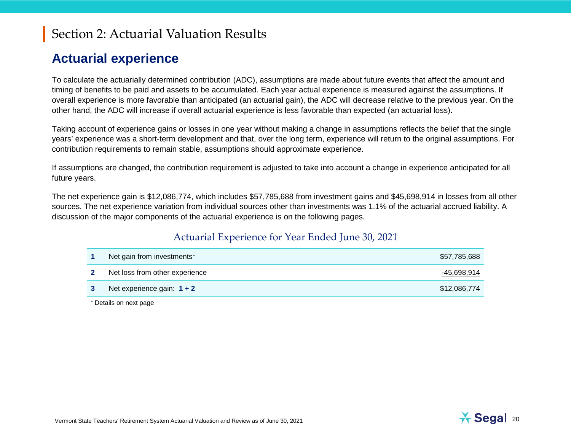#### <span id="page-19-0"></span>**Actuarial experience**

To calculate the actuarially determined contribution (ADC), assumptions are made about future events that affect the amount and timing of benefits to be paid and assets to be accumulated. Each year actual experience is measured against the assumptions. If overall experience is more favorable than anticipated (an actuarial gain), the ADC will decrease relative to the previous year. On the other hand, the ADC will increase if overall actuarial experience is less favorable than expected (an actuarial loss).

Taking account of experience gains or losses in one year without making a change in assumptions reflects the belief that the single years' experience was a short-term development and that, over the long term, experience will return to the original assumptions. For contribution requirements to remain stable, assumptions should approximate experience.

If assumptions are changed, the contribution requirement is adjusted to take into account a change in experience anticipated for all future years.

The net experience gain is \$12,086,774, which includes \$57,785,688 from investment gains and \$45,698,914 in losses from all other sources. The net experience variation from individual sources other than investments was 1.1% of the actuarial accrued liability. A discussion of the major components of the actuarial experience is on the following pages.

#### Actuarial Experience for Year Ended June 30, 2021

| Net gain from investments*     | \$57,785,688 |
|--------------------------------|--------------|
| Net loss from other experience | -45,698,914  |
| Net experience gain: $1 + 2$   | \$12,086,774 |

<sup>∗</sup> Details on next page

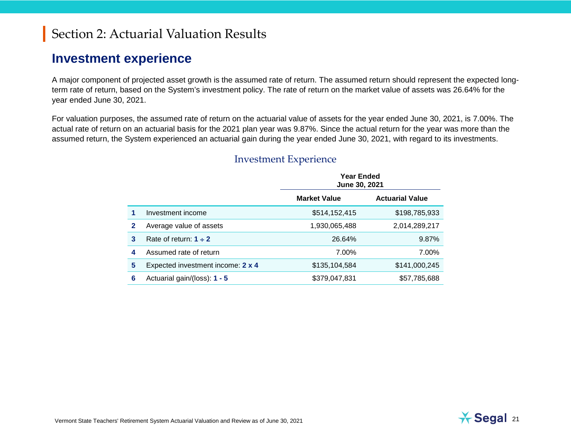#### **Investment experience**

A major component of projected asset growth is the assumed rate of return. The assumed return should represent the expected longterm rate of return, based on the System's investment policy. The rate of return on the market value of assets was 26.64% for the year ended June 30, 2021.

For valuation purposes, the assumed rate of return on the actuarial value of assets for the year ended June 30, 2021, is 7.00%. The actual rate of return on an actuarial basis for the 2021 plan year was 9.87%. Since the actual return for the year was more than the assumed return, the System experienced an actuarial gain during the year ended June 30, 2021, with regard to its investments.

|   |                                   | <b>Year Ended</b><br>June 30, 2021 |                        |  |
|---|-----------------------------------|------------------------------------|------------------------|--|
|   |                                   | <b>Market Value</b>                | <b>Actuarial Value</b> |  |
|   | Investment income                 | \$514,152,415                      | \$198,785,933          |  |
| 2 | Average value of assets           | 1,930,065,488                      | 2,014,289,217          |  |
| 3 | Rate of return: $1 \div 2$        | 26.64%                             | 9.87%                  |  |
| 4 | Assumed rate of return            | 7.00%                              | 7.00%                  |  |
| 5 | Expected investment income: 2 x 4 | \$135,104,584                      | \$141,000,245          |  |
| 6 | Actuarial gain/(loss): $1 - 5$    | \$379,047,831                      | \$57,785,688           |  |

#### Investment Experience

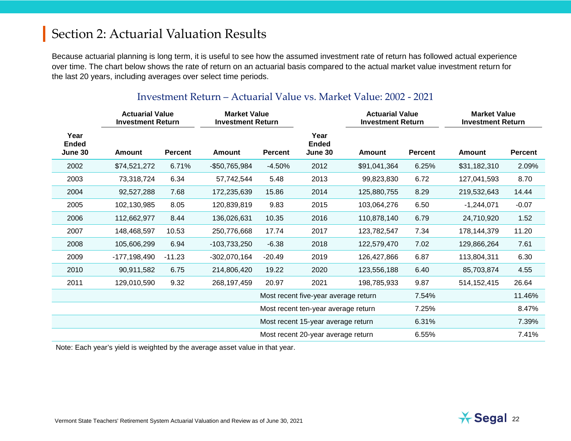Because actuarial planning is long term, it is useful to see how the assumed investment rate of return has followed actual experience over time. The chart below shows the rate of return on an actuarial basis compared to the actual market value investment return for the last 20 years, including averages over select time periods.

|                                 | <b>Actuarial Value</b><br><b>Investment Return</b> |                | <b>Market Value</b><br><b>Investment Return</b> |                                     |                                      | <b>Actuarial Value</b><br><b>Investment Return</b> |                | <b>Market Value</b><br><b>Investment Return</b> |                |
|---------------------------------|----------------------------------------------------|----------------|-------------------------------------------------|-------------------------------------|--------------------------------------|----------------------------------------------------|----------------|-------------------------------------------------|----------------|
| Year<br><b>Ended</b><br>June 30 | Amount                                             | <b>Percent</b> | <b>Amount</b>                                   | <b>Percent</b>                      | Year<br><b>Ended</b><br>June 30      | Amount                                             | <b>Percent</b> | <b>Amount</b>                                   | <b>Percent</b> |
| 2002                            | \$74,521,272                                       | 6.71%          | -\$50,765,984                                   | $-4.50%$                            | 2012                                 | \$91,041,364                                       | 6.25%          | \$31,182,310                                    | 2.09%          |
| 2003                            | 73,318,724                                         | 6.34           | 57,742,544                                      | 5.48                                | 2013                                 | 99,823,830                                         | 6.72           | 127,041,593                                     | 8.70           |
| 2004                            | 92,527,288                                         | 7.68           | 172,235,639                                     | 15.86                               | 2014                                 | 125,880,755                                        | 8.29           | 219,532,643                                     | 14.44          |
| 2005                            | 102,130,985                                        | 8.05           | 120,839,819                                     | 9.83                                | 2015                                 | 103,064,276                                        | 6.50           | $-1,244,071$                                    | $-0.07$        |
| 2006                            | 112,662,977                                        | 8.44           | 136,026,631                                     | 10.35                               | 2016                                 | 110,878,140                                        | 6.79           | 24,710,920                                      | 1.52           |
| 2007                            | 148,468,597                                        | 10.53          | 250,776,668                                     | 17.74                               | 2017                                 | 123,782,547                                        | 7.34           | 178,144,379                                     | 11.20          |
| 2008                            | 105,606,299                                        | 6.94           | -103,733,250                                    | $-6.38$                             | 2018                                 | 122,579,470                                        | 7.02           | 129,866,264                                     | 7.61           |
| 2009                            | $-177, 198, 490$                                   | $-11.23$       | $-302,070,164$                                  | $-20.49$                            | 2019                                 | 126,427,866                                        | 6.87           | 113,804,311                                     | 6.30           |
| 2010                            | 90,911,582                                         | 6.75           | 214,806,420                                     | 19.22                               | 2020                                 | 123,556,188                                        | 6.40           | 85,703,874                                      | 4.55           |
| 2011                            | 129,010,590                                        | 9.32           | 268, 197, 459                                   | 20.97                               | 2021                                 | 198,785,933                                        | 9.87           | 514, 152, 415                                   | 26.64          |
|                                 |                                                    |                |                                                 |                                     | Most recent five-year average return |                                                    | 7.54%          |                                                 | 11.46%         |
|                                 |                                                    |                |                                                 | Most recent ten-year average return |                                      | 7.25%                                              |                | 8.47%                                           |                |
|                                 |                                                    |                |                                                 | Most recent 15-year average return  |                                      | 6.31%                                              |                | 7.39%                                           |                |
|                                 |                                                    |                |                                                 | Most recent 20-year average return  |                                      | 6.55%                                              |                | 7.41%                                           |                |

#### Investment Return – Actuarial Value vs. Market Value: 2002 - 2021

Note: Each year's yield is weighted by the average asset value in that year.

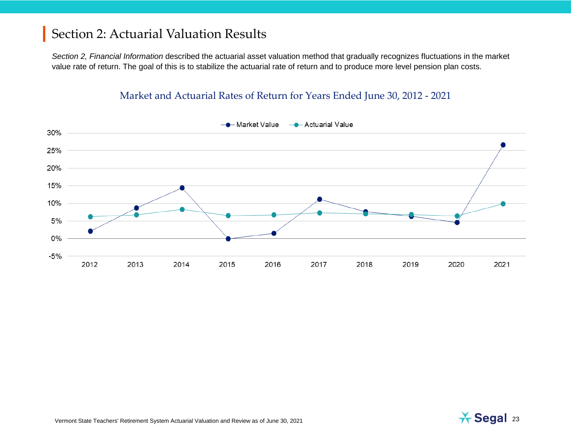*Section 2, Financial Information* described the actuarial asset valuation method that gradually recognizes fluctuations in the market value rate of return. The goal of this is to stabilize the actuarial rate of return and to produce more level pension plan costs.

#### Market and Actuarial Rates of Return for Years Ended June 30, 2012 - 2021



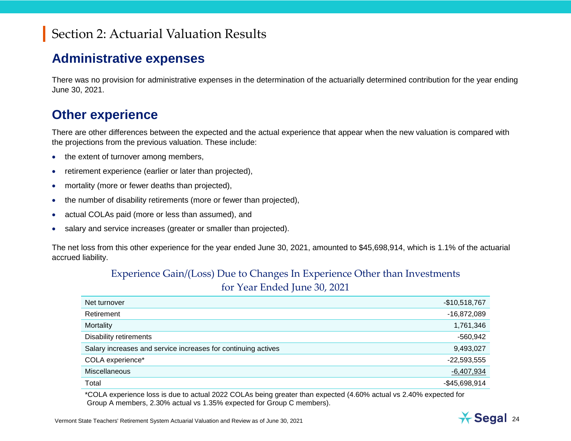#### **Administrative expenses**

There was no provision for administrative expenses in the determination of the actuarially determined contribution for the year ending June 30, 2021.

#### **Other experience**

There are other differences between the expected and the actual experience that appear when the new valuation is compared with the projections from the previous valuation. These include:

- the extent of turnover among members,
- retirement experience (earlier or later than projected),
- mortality (more or fewer deaths than projected),
- the number of disability retirements (more or fewer than projected),
- actual COLAs paid (more or less than assumed), and
- salary and service increases (greater or smaller than projected).

The net loss from this other experience for the year ended June 30, 2021, amounted to \$45,698,914, which is 1.1% of the actuarial accrued liability.

#### Experience Gain/(Loss) Due to Changes In Experience Other than Investments for Year Ended June 30, 2021

| Net turnover                                                  | $-$10,518,767$ |
|---------------------------------------------------------------|----------------|
| Retirement                                                    | $-16,872,089$  |
| Mortality                                                     | 1,761,346      |
| Disability retirements                                        | $-560,942$     |
| Salary increases and service increases for continuing actives | 9,493,027      |
| COLA experience*                                              | $-22,593,555$  |
| <b>Miscellaneous</b>                                          | $-6,407,934$   |
| Total                                                         | $-$45,698,914$ |

\*COLA experience loss is due to actual 2022 COLAs being greater than expected (4.60% actual vs 2.40% expected for Group A members, 2.30% actual vs 1.35% expected for Group C members).

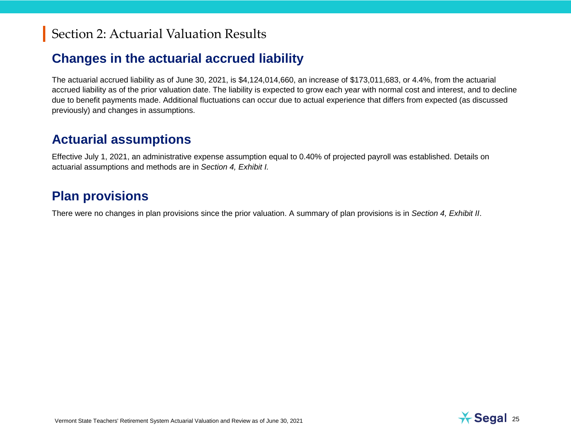#### **Changes in the actuarial accrued liability**

The actuarial accrued liability as of June 30, 2021, is \$4,124,014,660, an increase of \$173,011,683, or 4.4%, from the actuarial accrued liability as of the prior valuation date. The liability is expected to grow each year with normal cost and interest, and to decline due to benefit payments made. Additional fluctuations can occur due to actual experience that differs from expected (as discussed previously) and changes in assumptions.

#### **Actuarial assumptions**

Effective July 1, 2021, an administrative expense assumption equal to 0.40% of projected payroll was established. Details on actuarial assumptions and methods are in *Section 4, Exhibit I.*

#### **Plan provisions**

There were no changes in plan provisions since the prior valuation. A summary of plan provisions is in *Section 4, Exhibit II*.

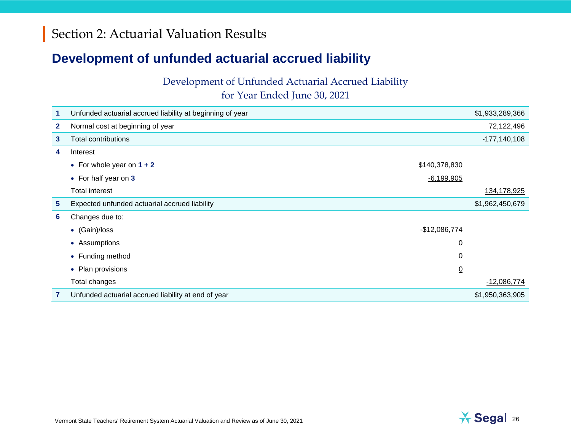#### **Development of unfunded actuarial accrued liability**

Development of Unfunded Actuarial Accrued Liability

for Year Ended June 30, 2021

|              | Unfunded actuarial accrued liability at beginning of year |                | \$1,933,289,366  |
|--------------|-----------------------------------------------------------|----------------|------------------|
| $\mathbf{2}$ | Normal cost at beginning of year                          |                | 72,122,496       |
| 3            | <b>Total contributions</b>                                |                | $-177, 140, 108$ |
| 4            | Interest                                                  |                |                  |
|              | • For whole year on $1 + 2$                               | \$140,378,830  |                  |
|              | • For half year on 3                                      | $-6,199,905$   |                  |
|              | <b>Total interest</b>                                     |                | 134,178,925      |
| 5            | Expected unfunded actuarial accrued liability             |                | \$1,962,450,679  |
| 6            | Changes due to:                                           |                |                  |
|              | • (Gain)/loss                                             | $-$12,086,774$ |                  |
|              | • Assumptions                                             | 0              |                  |
|              | • Funding method                                          | 0              |                  |
|              | • Plan provisions                                         | <u>0</u>       |                  |
|              | Total changes                                             |                | $-12,086,774$    |
|              | Unfunded actuarial accrued liability at end of year       |                | \$1,950,363,905  |

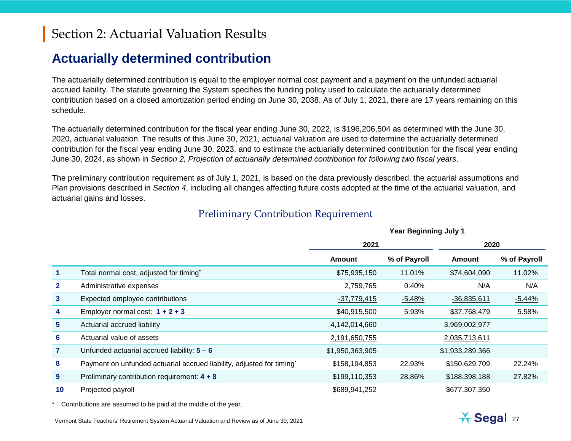#### **Actuarially determined contribution**

The actuarially determined contribution is equal to the employer normal cost payment and a payment on the unfunded actuarial accrued liability. The statute governing the System specifies the funding policy used to calculate the actuarially determined contribution based on a closed amortization period ending on June 30, 2038. As of July 1, 2021, there are 17 years remaining on this schedule.

The actuarially determined contribution for the fiscal year ending June 30, 2022, is \$196,206,504 as determined with the June 30, 2020, actuarial valuation. The results of this June 30, 2021, actuarial valuation are used to determine the actuarially determined contribution for the fiscal year ending June 30, 2023, and to estimate the actuarially determined contribution for the fiscal year ending June 30, 2024, as shown in *Section 2, Projection of actuarially determined contribution for following two fiscal years*.

The preliminary contribution requirement as of July 1, 2021, is based on the data previously described, the actuarial assumptions and Plan provisions described in *Section 4*, including all changes affecting future costs adopted at the time of the actuarial valuation, and actuarial gains and losses.

|                |                                                                       | <b>Year Beginning July 1</b> |              |                 |              |  |
|----------------|-----------------------------------------------------------------------|------------------------------|--------------|-----------------|--------------|--|
|                |                                                                       | 2021                         |              | 2020            |              |  |
|                |                                                                       | <b>Amount</b>                | % of Payroll | <b>Amount</b>   | % of Payroll |  |
|                | Total normal cost, adjusted for timing*                               | \$75,935,150                 | 11.01%       | \$74,604,090    | 11.02%       |  |
| $\mathbf{2}$   | Administrative expenses                                               | 2,759,765                    | 0.40%        | N/A             | N/A          |  |
| 3              | Expected employee contributions                                       | $-37,779,415$                | $-5.48%$     | $-36,835,611$   | $-5.44%$     |  |
| 4              | Employer normal cost: $1 + 2 + 3$                                     | \$40,915,500                 | 5.93%        | \$37,768,479    | 5.58%        |  |
| 5              | Actuarial accrued liability                                           | 4,142,014,660                |              | 3,969,002,977   |              |  |
| 6              | Actuarial value of assets                                             | 2,191,650,755                |              | 2,035,713,611   |              |  |
| $\overline{7}$ | Unfunded actuarial accrued liability: $5 - 6$                         | \$1,950,363,905              |              | \$1,933,289,366 |              |  |
| 8              | Payment on unfunded actuarial accrued liability, adjusted for timing* | \$158,194,853                | 22.93%       | \$150,629,709   | 22.24%       |  |
| 9              | Preliminary contribution requirement: 4 + 8                           | \$199,110,353                | 28.86%       | \$188,398,188   | 27.82%       |  |
| 10             | Projected payroll                                                     | \$689,941,252                |              | \$677,307,350   |              |  |

#### Preliminary Contribution Requirement

\* Contributions are assumed to be paid at the middle of the year.

Vermont State Teachers' Retirement System Actuarial Valuation and Review as of June 30, 2021 27

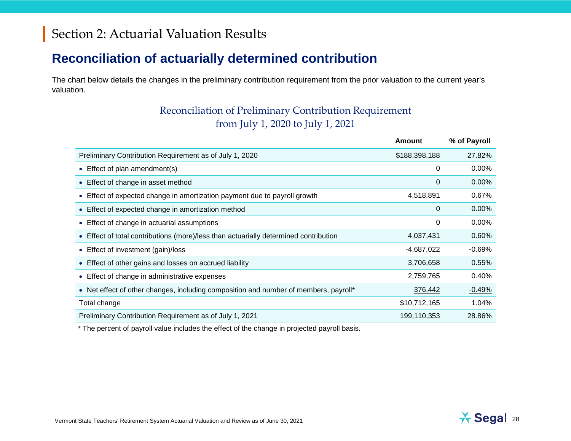### **Reconciliation of actuarially determined contribution**

The chart below details the changes in the preliminary contribution requirement from the prior valuation to the current year's valuation.

#### Reconciliation of Preliminary Contribution Requirement from July 1, 2020 to July 1, 2021

|                                                                                      | Amount        | % of Payroll |
|--------------------------------------------------------------------------------------|---------------|--------------|
| Preliminary Contribution Requirement as of July 1, 2020                              | \$188,398,188 | 27.82%       |
| • Effect of plan amendment(s)                                                        | 0             | 0.00%        |
| • Effect of change in asset method                                                   | 0             | 0.00%        |
| • Effect of expected change in amortization payment due to payroll growth            | 4,518,891     | 0.67%        |
| • Effect of expected change in amortization method                                   | 0             | $0.00\%$     |
| • Effect of change in actuarial assumptions                                          | 0             | 0.00%        |
| • Effect of total contributions (more)/less than actuarially determined contribution | 4,037,431     | 0.60%        |
| • Effect of investment (gain)/loss                                                   | $-4,687,022$  | $-0.69%$     |
| • Effect of other gains and losses on accrued liability                              | 3,706,658     | 0.55%        |
| • Effect of change in administrative expenses                                        | 2,759,765     | 0.40%        |
| • Net effect of other changes, including composition and number of members, payroll* | 376,442       | $-0.49%$     |
| Total change                                                                         | \$10,712,165  | 1.04%        |
| Preliminary Contribution Requirement as of July 1, 2021                              | 199,110,353   | 28.86%       |

\* The percent of payroll value includes the effect of the change in projected payroll basis.

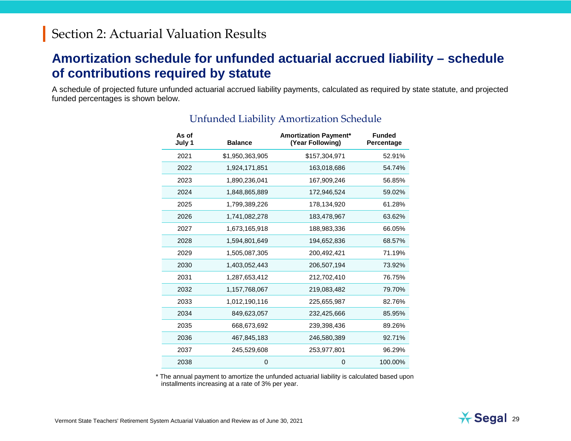#### **Amortization schedule for unfunded actuarial accrued liability – schedule of contributions required by statute**

A schedule of projected future unfunded actuarial accrued liability payments, calculated as required by state statute, and projected funded percentages is shown below.

| As of<br>July 1 | <b>Balance</b>  | <b>Amortization Payment*</b><br>(Year Following) | <b>Funded</b><br>Percentage |
|-----------------|-----------------|--------------------------------------------------|-----------------------------|
| 2021            | \$1,950,363,905 | \$157,304,971                                    | 52.91%                      |
| 2022            | 1,924,171,851   | 163,018,686                                      | 54.74%                      |
| 2023            | 1,890,236,041   | 167,909,246                                      | 56.85%                      |
| 2024            | 1,848,865,889   | 172,946,524                                      | 59.02%                      |
| 2025            | 1,799,389,226   | 178,134,920                                      | 61.28%                      |
| 2026            | 1,741,082,278   | 183,478,967                                      | 63.62%                      |
| 2027            | 1,673,165,918   | 188,983,336                                      | 66.05%                      |
| 2028            | 1,594,801,649   | 194,652,836                                      | 68.57%                      |
| 2029            | 1,505,087,305   | 200,492,421                                      | 71.19%                      |
| 2030            | 1,403,052,443   | 206,507,194                                      | 73.92%                      |
| 2031            | 1,287,653,412   | 212,702,410                                      | 76.75%                      |
| 2032            | 1,157,768,067   | 219,083,482                                      | 79.70%                      |
| 2033            | 1,012,190,116   | 225,655,987                                      | 82.76%                      |
| 2034            | 849,623,057     | 232,425,666                                      | 85.95%                      |
| 2035            | 668,673,692     | 239,398,436                                      | 89.26%                      |
| 2036            | 467,845,183     | 246,580,389                                      | 92.71%                      |
| 2037            | 245,529,608     | 253,977,801                                      | 96.29%                      |
| 2038            | 0               | 0                                                | 100.00%                     |

#### Unfunded Liability Amortization Schedule

\* The annual payment to amortize the unfunded actuarial liability is calculated based upon installments increasing at a rate of 3% per year.

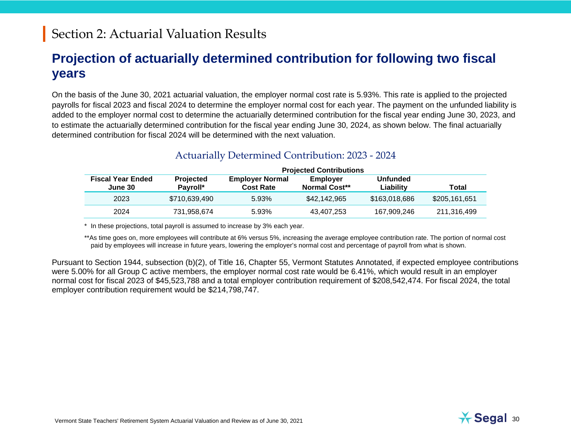#### **Projection of actuarially determined contribution for following two fiscal years**

On the basis of the June 30, 2021 actuarial valuation, the employer normal cost rate is 5.93%. This rate is applied to the projected payrolls for fiscal 2023 and fiscal 2024 to determine the employer normal cost for each year. The payment on the unfunded liability is added to the employer normal cost to determine the actuarially determined contribution for the fiscal year ending June 30, 2023, and to estimate the actuarially determined contribution for the fiscal year ending June 30, 2024, as shown below. The final actuarially determined contribution for fiscal 2024 will be determined with the next valuation.

|                                     | <b>Projected Contributions</b> |                                            |                                  |                              |               |  |
|-------------------------------------|--------------------------------|--------------------------------------------|----------------------------------|------------------------------|---------------|--|
| <b>Fiscal Year Ended</b><br>June 30 | <b>Projected</b><br>Pavroll*   | <b>Employer Normal</b><br><b>Cost Rate</b> | Employer<br><b>Normal Cost**</b> | <b>Unfunded</b><br>Liability | <b>Total</b>  |  |
| 2023                                | \$710,639,490                  | 5.93%                                      | \$42,142,965                     | \$163,018,686                | \$205,161,651 |  |
| 2024                                | 731.958.674                    | 5.93%                                      | 43,407,253                       | 167.909.246                  | 211,316,499   |  |

#### Actuarially Determined Contribution: 2023 - 2024

\* In these projections, total payroll is assumed to increase by 3% each year.

\*\*As time goes on, more employees will contribute at 6% versus 5%, increasing the average employee contribution rate. The portion of normal cost paid by employees will increase in future years, lowering the employer's normal cost and percentage of payroll from what is shown.

Pursuant to Section 1944, subsection (b)(2), of Title 16, Chapter 55, Vermont Statutes Annotated, if expected employee contributions were 5.00% for all Group C active members, the employer normal cost rate would be 6.41%, which would result in an employer normal cost for fiscal 2023 of \$45,523,788 and a total employer contribution requirement of \$208,542,474. For fiscal 2024, the total employer contribution requirement would be \$214,798,747.

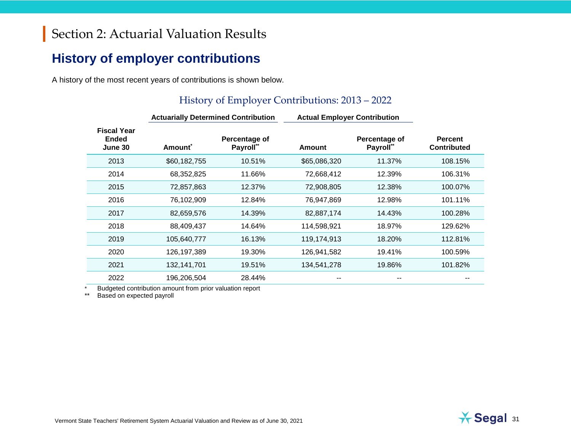#### **History of employer contributions**

A history of the most recent years of contributions is shown below.

#### History of Employer Contributions: 2013 – 2022

|                                               | <b>Actuarially Determined Contribution</b> |                            |               | <b>Actual Employer Contribution</b> |                                      |  |
|-----------------------------------------------|--------------------------------------------|----------------------------|---------------|-------------------------------------|--------------------------------------|--|
| <b>Fiscal Year</b><br><b>Ended</b><br>June 30 | Amount <sup>*</sup>                        | Percentage of<br>Payroll** | <b>Amount</b> | Percentage of<br>Payroll**          | <b>Percent</b><br><b>Contributed</b> |  |
| 2013                                          | \$60,182,755                               | 10.51%                     | \$65,086,320  | 11.37%                              | 108.15%                              |  |
| 2014                                          | 68,352,825                                 | 11.66%                     | 72,668,412    | 12.39%                              | 106.31%                              |  |
| 2015                                          | 72,857,863                                 | 12.37%                     | 72,908,805    | 12.38%                              | 100.07%                              |  |
| 2016                                          | 76,102,909                                 | 12.84%                     | 76,947,869    | 12.98%                              | 101.11%                              |  |
| 2017                                          | 82,659,576                                 | 14.39%                     | 82,887,174    | 14.43%                              | 100.28%                              |  |
| 2018                                          | 88,409,437                                 | 14.64%                     | 114,598,921   | 18.97%                              | 129.62%                              |  |
| 2019                                          | 105,640,777                                | 16.13%                     | 119,174,913   | 18.20%                              | 112.81%                              |  |
| 2020                                          | 126,197,389                                | 19.30%                     | 126,941,582   | 19.41%                              | 100.59%                              |  |
| 2021                                          | 132,141,701                                | 19.51%                     | 134,541,278   | 19.86%                              | 101.82%                              |  |
| 2022                                          | 196.206.504                                | 28.44%                     | --            |                                     |                                      |  |

Budgeted contribution amount from prior valuation report

\*\* Based on expected payroll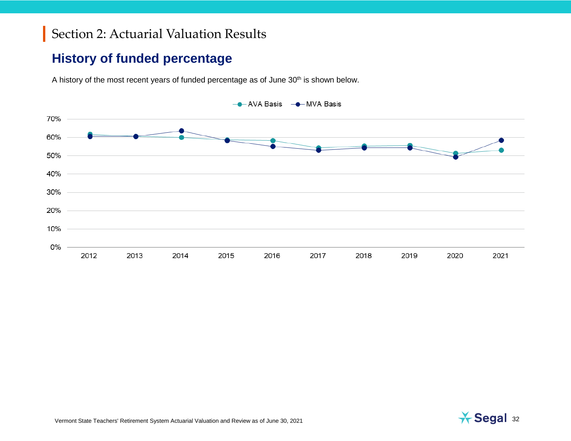#### **History of funded percentage**

A history of the most recent years of funded percentage as of June 30<sup>th</sup> is shown below.



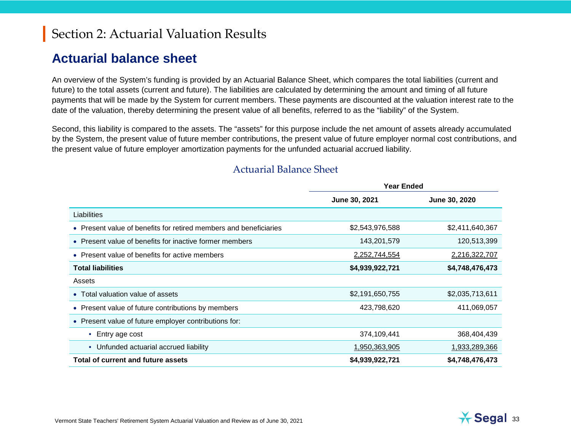#### **Actuarial balance sheet**

An overview of the System's funding is provided by an Actuarial Balance Sheet, which compares the total liabilities (current and future) to the total assets (current and future). The liabilities are calculated by determining the amount and timing of all future payments that will be made by the System for current members. These payments are discounted at the valuation interest rate to the date of the valuation, thereby determining the present value of all benefits, referred to as the "liability" of the System.

Second, this liability is compared to the assets. The "assets" for this purpose include the net amount of assets already accumulated by the System, the present value of future member contributions, the present value of future employer normal cost contributions, and the present value of future employer amortization payments for the unfunded actuarial accrued liability.

|                                                                   | Year Ended      |                 |  |
|-------------------------------------------------------------------|-----------------|-----------------|--|
|                                                                   | June 30, 2021   | June 30, 2020   |  |
| Liabilities                                                       |                 |                 |  |
| • Present value of benefits for retired members and beneficiaries | \$2,543,976,588 | \$2,411,640,367 |  |
| • Present value of benefits for inactive former members           | 143,201,579     | 120,513,399     |  |
| • Present value of benefits for active members                    | 2,252,744,554   | 2,216,322,707   |  |
| <b>Total liabilities</b>                                          | \$4,939,922,721 | \$4,748,476,473 |  |
| Assets                                                            |                 |                 |  |
| • Total valuation value of assets                                 | \$2,191,650,755 | \$2,035,713,611 |  |
| Present value of future contributions by members<br>$\bullet$     | 423,798,620     | 411,069,057     |  |
| • Present value of future employer contributions for:             |                 |                 |  |
| Entry age cost<br>$\bullet$                                       | 374,109,441     | 368,404,439     |  |
| • Unfunded actuarial accrued liability                            | 1,950,363,905   | 1,933,289,366   |  |
| Total of current and future assets                                | \$4,939,922,721 | \$4,748,476,473 |  |

#### Actuarial Balance Sheet

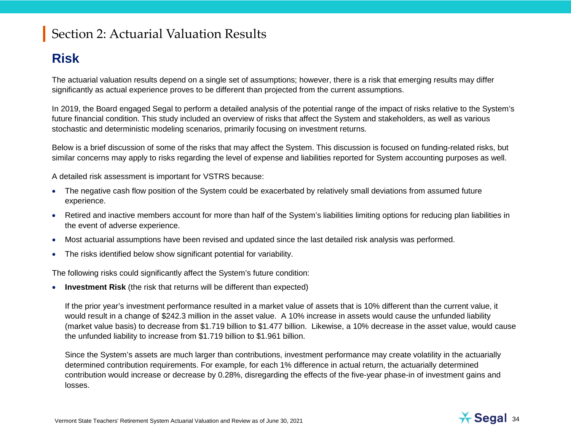### **Risk**

The actuarial valuation results depend on a single set of assumptions; however, there is a risk that emerging results may differ significantly as actual experience proves to be different than projected from the current assumptions.

In 2019, the Board engaged Segal to perform a detailed analysis of the potential range of the impact of risks relative to the System's future financial condition. This study included an overview of risks that affect the System and stakeholders, as well as various stochastic and deterministic modeling scenarios, primarily focusing on investment returns.

Below is a brief discussion of some of the risks that may affect the System. This discussion is focused on funding-related risks, but similar concerns may apply to risks regarding the level of expense and liabilities reported for System accounting purposes as well.

A detailed risk assessment is important for VSTRS because:

- The negative cash flow position of the System could be exacerbated by relatively small deviations from assumed future experience.
- Retired and inactive members account for more than half of the System's liabilities limiting options for reducing plan liabilities in the event of adverse experience.
- Most actuarial assumptions have been revised and updated since the last detailed risk analysis was performed.
- The risks identified below show significant potential for variability.

The following risks could significantly affect the System's future condition:

• **Investment Risk** (the risk that returns will be different than expected)

If the prior year's investment performance resulted in a market value of assets that is 10% different than the current value, it would result in a change of \$242.3 million in the asset value. A 10% increase in assets would cause the unfunded liability (market value basis) to decrease from \$1.719 billion to \$1.477 billion. Likewise, a 10% decrease in the asset value, would cause the unfunded liability to increase from \$1.719 billion to \$1.961 billion.

Since the System's assets are much larger than contributions, investment performance may create volatility in the actuarially determined contribution requirements. For example, for each 1% difference in actual return, the actuarially determined contribution would increase or decrease by 0.28%, disregarding the effects of the five-year phase-in of investment gains and losses.

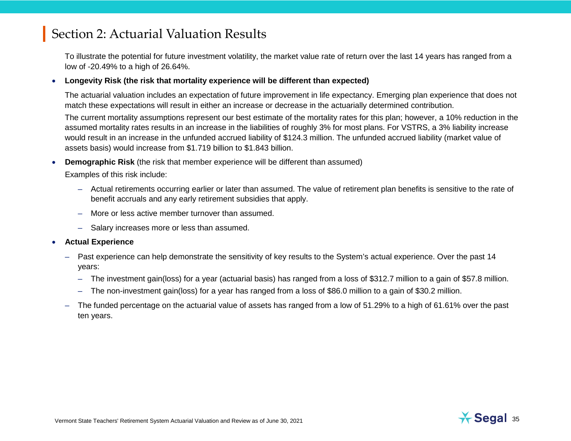To illustrate the potential for future investment volatility, the market value rate of return over the last 14 years has ranged from a low of -20.49% to a high of 26.64%.

#### • **Longevity Risk (the risk that mortality experience will be different than expected)**

The actuarial valuation includes an expectation of future improvement in life expectancy. Emerging plan experience that does not match these expectations will result in either an increase or decrease in the actuarially determined contribution.

The current mortality assumptions represent our best estimate of the mortality rates for this plan; however, a 10% reduction in the assumed mortality rates results in an increase in the liabilities of roughly 3% for most plans. For VSTRS, a 3% liability increase would result in an increase in the unfunded accrued liability of \$124.3 million. The unfunded accrued liability (market value of assets basis) would increase from \$1.719 billion to \$1.843 billion.

**Demographic Risk** (the risk that member experience will be different than assumed)

Examples of this risk include:

- Actual retirements occurring earlier or later than assumed. The value of retirement plan benefits is sensitive to the rate of benefit accruals and any early retirement subsidies that apply.
- More or less active member turnover than assumed.
- Salary increases more or less than assumed.
- **Actual Experience**
	- Past experience can help demonstrate the sensitivity of key results to the System's actual experience. Over the past 14 years:
		- The investment gain(loss) for a year (actuarial basis) has ranged from a loss of \$312.7 million to a gain of \$57.8 million.
		- The non-investment gain(loss) for a year has ranged from a loss of \$86.0 million to a gain of \$30.2 million.
	- The funded percentage on the actuarial value of assets has ranged from a low of 51.29% to a high of 61.61% over the past ten years.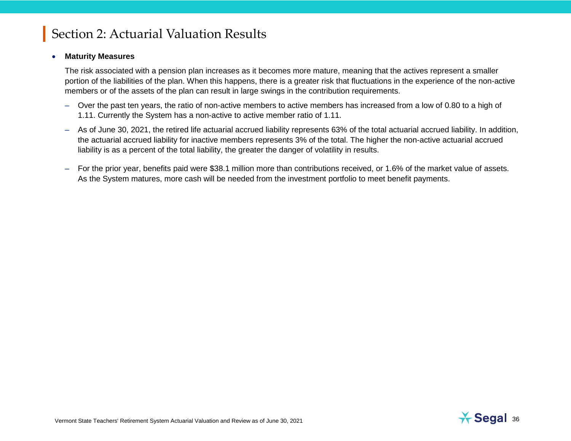#### • **Maturity Measures**

The risk associated with a pension plan increases as it becomes more mature, meaning that the actives represent a smaller portion of the liabilities of the plan. When this happens, there is a greater risk that fluctuations in the experience of the non-active members or of the assets of the plan can result in large swings in the contribution requirements.

- Over the past ten years, the ratio of non-active members to active members has increased from a low of 0.80 to a high of 1.11. Currently the System has a non-active to active member ratio of 1.11.
- As of June 30, 2021, the retired life actuarial accrued liability represents 63% of the total actuarial accrued liability. In addition, the actuarial accrued liability for inactive members represents 3% of the total. The higher the non-active actuarial accrued liability is as a percent of the total liability, the greater the danger of volatility in results.
- For the prior year, benefits paid were \$38.1 million more than contributions received, or 1.6% of the market value of assets. As the System matures, more cash will be needed from the investment portfolio to meet benefit payments.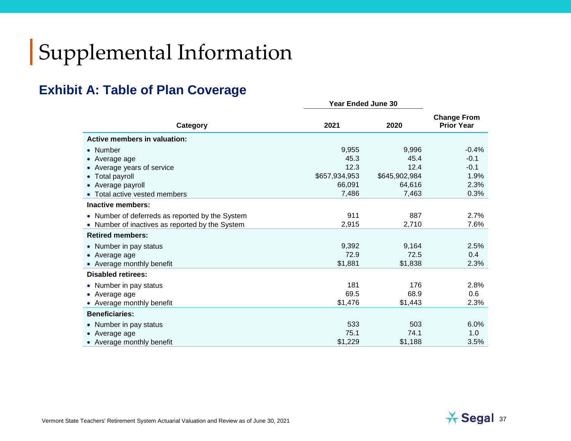# Supplemental Information

### **Exhibit A: Table of Plan Coverage**

|                                                 | <b>Year Ended June 30</b> |               |                                         |
|-------------------------------------------------|---------------------------|---------------|-----------------------------------------|
| Category                                        | 2021                      | 2020          | <b>Change From</b><br><b>Prior Year</b> |
| <b>Active members in valuation:</b>             |                           |               |                                         |
| • Number                                        | 9,955                     | 9,996         | $-0.4%$                                 |
| • Average age                                   | 45.3                      | 45.4          | $-0.1$                                  |
| • Average years of service                      | 12.3                      | 12.4          | $-0.1$                                  |
| • Total payroll                                 | \$657,934,953             | \$645,902,984 | 1.9%                                    |
| • Average payroll                               | 66,091                    | 64,616        | 2.3%                                    |
| • Total active vested members                   | 7,486                     | 7,463         | 0.3%                                    |
| Inactive members:                               |                           |               |                                         |
| • Number of deferreds as reported by the System | 911                       | 887           | 2.7%                                    |
| Number of inactives as reported by the System   | 2,915                     | 2,710         | 7.6%                                    |
| <b>Retired members:</b>                         |                           |               |                                         |
| • Number in pay status                          | 9,392                     | 9,164         | 2.5%                                    |
| • Average age                                   | 72.9                      | 72.5          | 0.4                                     |
| • Average monthly benefit                       | \$1,881                   | \$1,838       | 2.3%                                    |
| <b>Disabled retirees:</b>                       |                           |               |                                         |
| • Number in pay status                          | 181                       | 176           | 2.8%                                    |
| • Average age                                   | 69.5                      | 68.9          | 0.6                                     |
| • Average monthly benefit                       | \$1,476                   | \$1,443       | 2.3%                                    |
| <b>Beneficiaries:</b>                           |                           |               |                                         |
| • Number in pay status                          | 533                       | 503           | 6.0%                                    |
| • Average age                                   | 75.1                      | 74.1          | 1.0                                     |
| • Average monthly benefit                       | \$1,229                   | \$1,188       | 3.5%                                    |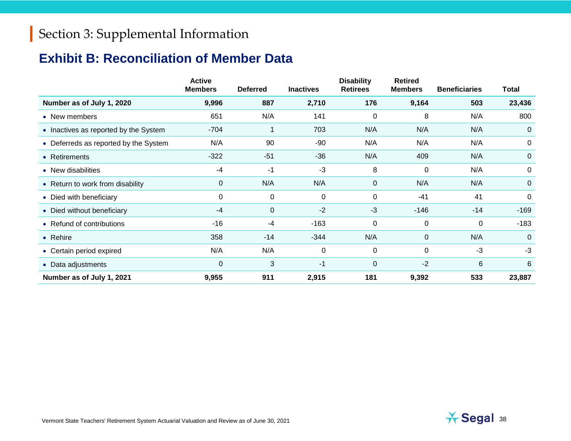### **Exhibit B: Reconciliation of Member Data**

|                                       | <b>Active</b><br><b>Members</b> | <b>Deferred</b> | <b>Inactives</b> | <b>Disability</b><br><b>Retirees</b> | <b>Retired</b><br><b>Members</b> | <b>Beneficiaries</b> | <b>Total</b>   |
|---------------------------------------|---------------------------------|-----------------|------------------|--------------------------------------|----------------------------------|----------------------|----------------|
| Number as of July 1, 2020             | 9,996                           | 887             | 2,710            | 176                                  | 9,164                            | 503                  | 23,436         |
| • New members                         | 651                             | N/A             | 141              | 0                                    | 8                                | N/A                  | 800            |
| • Inactives as reported by the System | -704                            |                 | 703              | N/A                                  | N/A                              | N/A                  | 0              |
| • Deferreds as reported by the System | N/A                             | 90              | -90              | N/A                                  | N/A                              | N/A                  | 0              |
| • Retirements                         | $-322$                          | $-51$           | $-36$            | N/A                                  | 409                              | N/A                  | $\overline{0}$ |
| • New disabilities                    | $-4$                            | -1              | $-3$             | 8                                    | 0                                | N/A                  | 0              |
| • Return to work from disability      | 0                               | N/A             | N/A              | $\mathbf 0$                          | N/A                              | N/A                  | $\overline{0}$ |
| • Died with beneficiary               | 0                               | 0               | 0                | $\pmb{0}$                            | $-41$                            | 41                   | 0              |
| • Died without beneficiary            | $-4$                            | $\overline{0}$  | $-2$             | $-3$                                 | $-146$                           | $-14$                | $-169$         |
| • Refund of contributions             | $-16$                           | -4              | $-163$           | 0                                    | 0                                | 0                    | $-183$         |
| • Rehire                              | 358                             | $-14$           | $-344$           | N/A                                  | $\mathbf 0$                      | N/A                  | $\mathbf 0$    |
| • Certain period expired              | N/A                             | N/A             | 0                | 0                                    | 0                                | $-3$                 | $-3$           |
| • Data adjustments                    | 0                               | 3               | $-1$             | 0                                    | $-2$                             | $6\,$                | 6              |
| Number as of July 1, 2021             | 9,955                           | 911             | 2,915            | 181                                  | 9,392                            | 533                  | 23,887         |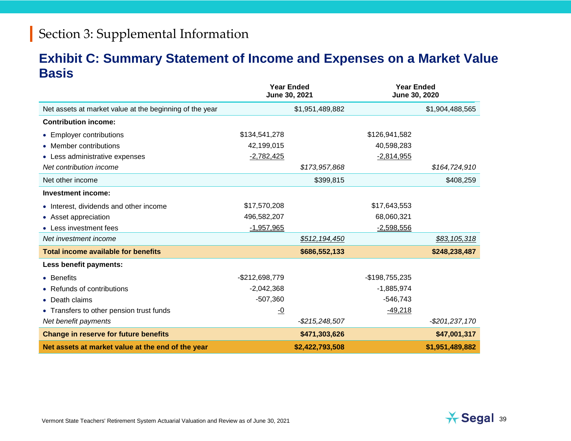#### **Exhibit C: Summary Statement of Income and Expenses on a Market Value Basis**

|                                                         | June 30, 2021  | <b>Year Ended</b> | <b>Year Ended</b><br>June 30, 2020 |                 |
|---------------------------------------------------------|----------------|-------------------|------------------------------------|-----------------|
| Net assets at market value at the beginning of the year |                | \$1,951,489,882   |                                    | \$1,904,488,565 |
| <b>Contribution income:</b>                             |                |                   |                                    |                 |
| • Employer contributions                                | \$134,541,278  |                   | \$126,941,582                      |                 |
| • Member contributions                                  | 42,199,015     |                   | 40,598,283                         |                 |
| • Less administrative expenses                          | $-2,782,425$   |                   | $-2,814,955$                       |                 |
| Net contribution income                                 |                | \$173,957,868     |                                    | \$164,724,910   |
| Net other income                                        |                | \$399,815         |                                    | \$408,259       |
| <b>Investment income:</b>                               |                |                   |                                    |                 |
| • Interest, dividends and other income                  | \$17,570,208   |                   | \$17,643,553                       |                 |
| • Asset appreciation                                    | 496,582,207    |                   | 68,060,321                         |                 |
| • Less investment fees                                  | $-1,957,965$   |                   | $-2,598,556$                       |                 |
| Net investment income                                   |                | \$512,194,450     |                                    | \$83,105,318    |
| <b>Total income available for benefits</b>              |                | \$686,552,133     |                                    | \$248,238,487   |
| Less benefit payments:                                  |                |                   |                                    |                 |
| • Benefits                                              | -\$212,698,779 |                   | -\$198,755,235                     |                 |
| • Refunds of contributions                              | $-2,042,368$   |                   | $-1,885,974$                       |                 |
| • Death claims                                          | $-507,360$     |                   | $-546,743$                         |                 |
| • Transfers to other pension trust funds                | $-0$           |                   | $-49,218$                          |                 |
| Net benefit payments                                    |                | -\$215,248,507    |                                    | $-$201,237,170$ |
| Change in reserve for future benefits                   |                | \$471,303,626     |                                    | \$47,001,317    |
| Net assets at market value at the end of the year       |                | \$2,422,793,508   |                                    | \$1,951,489,882 |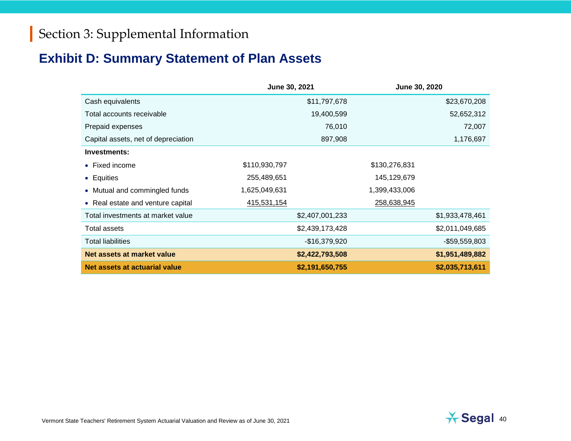### **Exhibit D: Summary Statement of Plan Assets**

|                                     | June 30, 2021   | June 30, 2020   |
|-------------------------------------|-----------------|-----------------|
| Cash equivalents                    | \$11,797,678    | \$23,670,208    |
| Total accounts receivable           | 19,400,599      | 52,652,312      |
| Prepaid expenses                    | 76,010          | 72,007          |
| Capital assets, net of depreciation | 897,908         | 1,176,697       |
| Investments:                        |                 |                 |
| • Fixed income                      | \$110,930,797   | \$130,276,831   |
| • Equities                          | 255,489,651     | 145,129,679     |
| • Mutual and commingled funds       | 1,625,049,631   | 1,399,433,006   |
| • Real estate and venture capital   | 415,531,154     | 258,638,945     |
| Total investments at market value   | \$2,407,001,233 | \$1,933,478,461 |
| Total assets                        | \$2,439,173,428 | \$2,011,049,685 |
| <b>Total liabilities</b>            | $-$16,379,920$  | $-$59,559,803$  |
| Net assets at market value          | \$2,422,793,508 | \$1,951,489,882 |
| Net assets at actuarial value       | \$2,191,650,755 | \$2,035,713,611 |

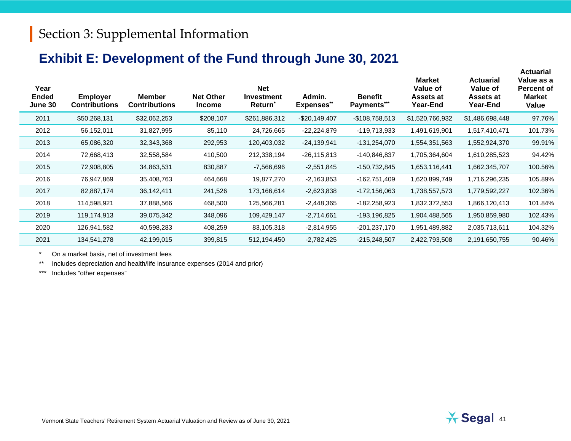#### **Exhibit E: Development of the Fund through June 30, 2021**

| Year<br><b>Ended</b><br>June 30 | <b>Employer</b><br><b>Contributions</b> | <b>Member</b><br><b>Contributions</b> | <b>Net Other</b><br><b>Income</b> | <b>Net</b><br><b>Investment</b><br><b>Return</b> <sup>*</sup> | Admin.<br><b>Expenses**</b> | <b>Benefit</b><br>Payments*** | <b>Market</b><br>Value of<br>Assets at<br>Year-End | <b>Actuarial</b><br>Value of<br>Assets at<br><b>Year-End</b> | Value as a<br><b>Percent of</b><br><b>Market</b><br>Value |
|---------------------------------|-----------------------------------------|---------------------------------------|-----------------------------------|---------------------------------------------------------------|-----------------------------|-------------------------------|----------------------------------------------------|--------------------------------------------------------------|-----------------------------------------------------------|
| 2011                            | \$50,268,131                            | \$32,062,253                          | \$208,107                         | \$261,886,312                                                 | $-$20,149,407$              | $-$108,758,513$               | \$1,520,766,932                                    | \$1,486,698,448                                              | 97.76%                                                    |
| 2012                            | 56,152,011                              | 31,827,995                            | 85,110                            | 24,726,665                                                    | $-22,224,879$               | -119,713,933                  | 1,491,619,901                                      | 1,517,410,471                                                | 101.73%                                                   |
| 2013                            | 65,086,320                              | 32,343,368                            | 292,953                           | 120,403,032                                                   | $-24,139,941$               | $-131,254,070$                | 1,554,351,563                                      | 1,552,924,370                                                | 99.91%                                                    |
| 2014                            | 72,668,413                              | 32,558,584                            | 410,500                           | 212,338,194                                                   | $-26, 115, 813$             | -140,846,837                  | 1,705,364,604                                      | 1,610,285,523                                                | 94.42%                                                    |
| 2015                            | 72,908,805                              | 34,863,531                            | 830,887                           | -7,566,696                                                    | $-2,551,845$                | -150,732,845                  | 1,653,116,441                                      | 1,662,345,707                                                | 100.56%                                                   |
| 2016                            | 76,947,869                              | 35,408,763                            | 464,668                           | 19,877,270                                                    | $-2,163,853$                | -162,751,409                  | 1,620,899,749                                      | 1,716,296,235                                                | 105.89%                                                   |
| 2017                            | 82,887,174                              | 36,142,411                            | 241,526                           | 173,166,614                                                   | $-2,623,838$                | -172,156,063                  | 1,738,557,573                                      | 1,779,592,227                                                | 102.36%                                                   |
| 2018                            | 114,598,921                             | 37,888,566                            | 468,500                           | 125,566,281                                                   | $-2,448,365$                | $-182,258,923$                | 1,832,372,553                                      | 1,866,120,413                                                | 101.84%                                                   |
| 2019                            | 119,174,913                             | 39,075,342                            | 348,096                           | 109,429,147                                                   | $-2,714,661$                | -193,196,825                  | 1,904,488,565                                      | 1,950,859,980                                                | 102.43%                                                   |
| 2020                            | 126,941,582                             | 40,598,283                            | 408,259                           | 83,105,318                                                    | $-2,814,955$                | $-201,237,170$                | 1,951,489,882                                      | 2,035,713,611                                                | 104.32%                                                   |
| 2021                            | 134,541,278                             | 42,199,015                            | 399,815                           | 512,194,450                                                   | $-2,782,425$                | $-215,248,507$                | 2,422,793,508                                      | 2,191,650,755                                                | 90.46%                                                    |

\* On a market basis, net of investment fees

\*\* Includes depreciation and health/life insurance expenses (2014 and prior)

\*\*\* Includes "other expenses"

**Actuarial**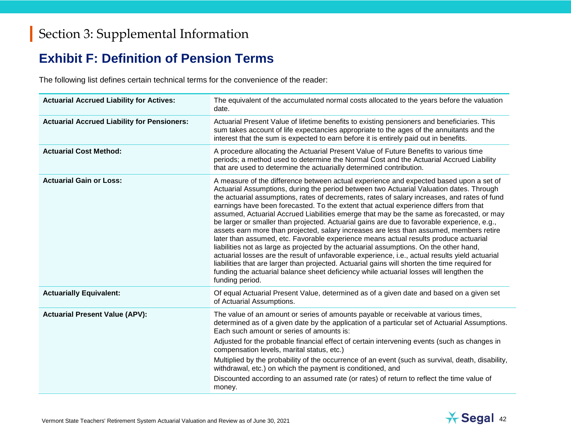#### **Exhibit F: Definition of Pension Terms**

The following list defines certain technical terms for the convenience of the reader:

| <b>Actuarial Accrued Liability for Actives:</b>    | The equivalent of the accumulated normal costs allocated to the years before the valuation<br>date.                                                                                                                                                                                                                                                                                                                                                                                                                                                                                                                                                                                                                                                                                                                                                                                                                                                                                                                                                                                                                                                                   |
|----------------------------------------------------|-----------------------------------------------------------------------------------------------------------------------------------------------------------------------------------------------------------------------------------------------------------------------------------------------------------------------------------------------------------------------------------------------------------------------------------------------------------------------------------------------------------------------------------------------------------------------------------------------------------------------------------------------------------------------------------------------------------------------------------------------------------------------------------------------------------------------------------------------------------------------------------------------------------------------------------------------------------------------------------------------------------------------------------------------------------------------------------------------------------------------------------------------------------------------|
| <b>Actuarial Accrued Liability for Pensioners:</b> | Actuarial Present Value of lifetime benefits to existing pensioners and beneficiaries. This<br>sum takes account of life expectancies appropriate to the ages of the annuitants and the<br>interest that the sum is expected to earn before it is entirely paid out in benefits.                                                                                                                                                                                                                                                                                                                                                                                                                                                                                                                                                                                                                                                                                                                                                                                                                                                                                      |
| <b>Actuarial Cost Method:</b>                      | A procedure allocating the Actuarial Present Value of Future Benefits to various time<br>periods; a method used to determine the Normal Cost and the Actuarial Accrued Liability<br>that are used to determine the actuarially determined contribution.                                                                                                                                                                                                                                                                                                                                                                                                                                                                                                                                                                                                                                                                                                                                                                                                                                                                                                               |
| <b>Actuarial Gain or Loss:</b>                     | A measure of the difference between actual experience and expected based upon a set of<br>Actuarial Assumptions, during the period between two Actuarial Valuation dates. Through<br>the actuarial assumptions, rates of decrements, rates of salary increases, and rates of fund<br>earnings have been forecasted. To the extent that actual experience differs from that<br>assumed, Actuarial Accrued Liabilities emerge that may be the same as forecasted, or may<br>be larger or smaller than projected. Actuarial gains are due to favorable experience, e.g.,<br>assets earn more than projected, salary increases are less than assumed, members retire<br>later than assumed, etc. Favorable experience means actual results produce actuarial<br>liabilities not as large as projected by the actuarial assumptions. On the other hand,<br>actuarial losses are the result of unfavorable experience, i.e., actual results yield actuarial<br>liabilities that are larger than projected. Actuarial gains will shorten the time required for<br>funding the actuarial balance sheet deficiency while actuarial losses will lengthen the<br>funding period. |
| <b>Actuarially Equivalent:</b>                     | Of equal Actuarial Present Value, determined as of a given date and based on a given set<br>of Actuarial Assumptions.                                                                                                                                                                                                                                                                                                                                                                                                                                                                                                                                                                                                                                                                                                                                                                                                                                                                                                                                                                                                                                                 |
| <b>Actuarial Present Value (APV):</b>              | The value of an amount or series of amounts payable or receivable at various times,<br>determined as of a given date by the application of a particular set of Actuarial Assumptions.<br>Each such amount or series of amounts is:                                                                                                                                                                                                                                                                                                                                                                                                                                                                                                                                                                                                                                                                                                                                                                                                                                                                                                                                    |
|                                                    | Adjusted for the probable financial effect of certain intervening events (such as changes in<br>compensation levels, marital status, etc.)                                                                                                                                                                                                                                                                                                                                                                                                                                                                                                                                                                                                                                                                                                                                                                                                                                                                                                                                                                                                                            |
|                                                    | Multiplied by the probability of the occurrence of an event (such as survival, death, disability,<br>withdrawal, etc.) on which the payment is conditioned, and                                                                                                                                                                                                                                                                                                                                                                                                                                                                                                                                                                                                                                                                                                                                                                                                                                                                                                                                                                                                       |
|                                                    | Discounted according to an assumed rate (or rates) of return to reflect the time value of<br>money.                                                                                                                                                                                                                                                                                                                                                                                                                                                                                                                                                                                                                                                                                                                                                                                                                                                                                                                                                                                                                                                                   |



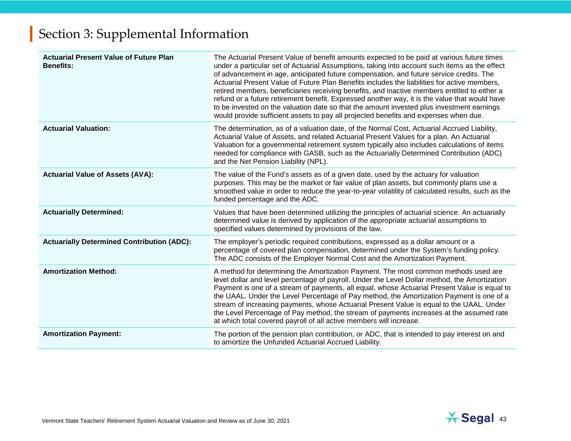| <b>Actuarial Present Value of Future Plan</b><br><b>Benefits:</b> | The Actuarial Present Value of benefit amounts expected to be paid at various future times<br>under a particular set of Actuarial Assumptions, taking into account such items as the effect<br>of advancement in age, anticipated future compensation, and future service credits. The<br>Actuarial Present Value of Future Plan Benefits includes the liabilities for active members,<br>retired members, beneficiaries receiving benefits, and inactive members entitled to either a<br>refund or a future retirement benefit. Expressed another way, it is the value that would have<br>to be invested on the valuation date so that the amount invested plus investment earnings<br>would provide sufficient assets to pay all projected benefits and expenses when due. |
|-------------------------------------------------------------------|------------------------------------------------------------------------------------------------------------------------------------------------------------------------------------------------------------------------------------------------------------------------------------------------------------------------------------------------------------------------------------------------------------------------------------------------------------------------------------------------------------------------------------------------------------------------------------------------------------------------------------------------------------------------------------------------------------------------------------------------------------------------------|
| <b>Actuarial Valuation:</b>                                       | The determination, as of a valuation date, of the Normal Cost, Actuarial Accrued Liability,<br>Actuarial Value of Assets, and related Actuarial Present Values for a plan. An Actuarial<br>Valuation for a governmental retirement system typically also includes calculations of items<br>needed for compliance with GASB, such as the Actuarially Determined Contribution (ADC)<br>and the Net Pension Liability (NPL).                                                                                                                                                                                                                                                                                                                                                    |
| <b>Actuarial Value of Assets (AVA):</b>                           | The value of the Fund's assets as of a given date, used by the actuary for valuation<br>purposes. This may be the market or fair value of plan assets, but commonly plans use a<br>smoothed value in order to reduce the year-to-year volatility of calculated results, such as the<br>funded percentage and the ADC.                                                                                                                                                                                                                                                                                                                                                                                                                                                        |
| <b>Actuarially Determined:</b>                                    | Values that have been determined utilizing the principles of actuarial science. An actuarially<br>determined value is derived by application of the appropriate actuarial assumptions to<br>specified values determined by provisions of the law.                                                                                                                                                                                                                                                                                                                                                                                                                                                                                                                            |
| <b>Actuarially Determined Contribution (ADC):</b>                 | The employer's periodic required contributions, expressed as a dollar amount or a<br>percentage of covered plan compensation, determined under the System's funding policy.<br>The ADC consists of the Employer Normal Cost and the Amortization Payment.                                                                                                                                                                                                                                                                                                                                                                                                                                                                                                                    |
| <b>Amortization Method:</b>                                       | A method for determining the Amortization Payment. The most common methods used are<br>level dollar and level percentage of payroll. Under the Level Dollar method, the Amortization<br>Payment is one of a stream of payments, all equal, whose Actuarial Present Value is equal to<br>the UAAL. Under the Level Percentage of Pay method, the Amortization Payment is one of a<br>stream of increasing payments, whose Actuarial Present Value is equal to the UAAL. Under<br>the Level Percentage of Pay method, the stream of payments increases at the assumed rate<br>at which total covered payroll of all active members will increase.                                                                                                                              |
| <b>Amortization Payment:</b>                                      | The portion of the pension plan contribution, or ADC, that is intended to pay interest on and<br>to amortize the Unfunded Actuarial Accrued Liability.                                                                                                                                                                                                                                                                                                                                                                                                                                                                                                                                                                                                                       |

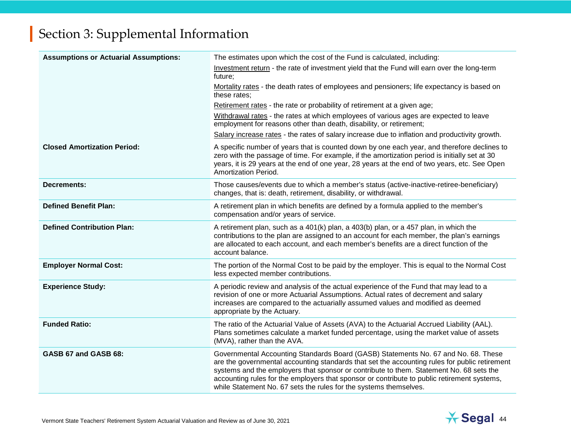| <b>Assumptions or Actuarial Assumptions:</b> | The estimates upon which the cost of the Fund is calculated, including:                                                                                                                                                                                                                                                                                                                                                                            |
|----------------------------------------------|----------------------------------------------------------------------------------------------------------------------------------------------------------------------------------------------------------------------------------------------------------------------------------------------------------------------------------------------------------------------------------------------------------------------------------------------------|
|                                              | Investment return - the rate of investment yield that the Fund will earn over the long-term<br>future;                                                                                                                                                                                                                                                                                                                                             |
|                                              | Mortality rates - the death rates of employees and pensioners; life expectancy is based on<br>these rates;                                                                                                                                                                                                                                                                                                                                         |
|                                              | Retirement rates - the rate or probability of retirement at a given age;                                                                                                                                                                                                                                                                                                                                                                           |
|                                              | Withdrawal rates - the rates at which employees of various ages are expected to leave<br>employment for reasons other than death, disability, or retirement;                                                                                                                                                                                                                                                                                       |
|                                              | Salary increase rates - the rates of salary increase due to inflation and productivity growth.                                                                                                                                                                                                                                                                                                                                                     |
| <b>Closed Amortization Period:</b>           | A specific number of years that is counted down by one each year, and therefore declines to<br>zero with the passage of time. For example, if the amortization period is initially set at 30<br>years, it is 29 years at the end of one year, 28 years at the end of two years, etc. See Open<br>Amortization Period.                                                                                                                              |
| <b>Decrements:</b>                           | Those causes/events due to which a member's status (active-inactive-retiree-beneficiary)<br>changes, that is: death, retirement, disability, or withdrawal.                                                                                                                                                                                                                                                                                        |
| <b>Defined Benefit Plan:</b>                 | A retirement plan in which benefits are defined by a formula applied to the member's<br>compensation and/or years of service.                                                                                                                                                                                                                                                                                                                      |
| <b>Defined Contribution Plan:</b>            | A retirement plan, such as a 401(k) plan, a 403(b) plan, or a 457 plan, in which the<br>contributions to the plan are assigned to an account for each member, the plan's earnings<br>are allocated to each account, and each member's benefits are a direct function of the<br>account balance.                                                                                                                                                    |
| <b>Employer Normal Cost:</b>                 | The portion of the Normal Cost to be paid by the employer. This is equal to the Normal Cost<br>less expected member contributions.                                                                                                                                                                                                                                                                                                                 |
| <b>Experience Study:</b>                     | A periodic review and analysis of the actual experience of the Fund that may lead to a<br>revision of one or more Actuarial Assumptions. Actual rates of decrement and salary<br>increases are compared to the actuarially assumed values and modified as deemed<br>appropriate by the Actuary.                                                                                                                                                    |
| <b>Funded Ratio:</b>                         | The ratio of the Actuarial Value of Assets (AVA) to the Actuarial Accrued Liability (AAL).<br>Plans sometimes calculate a market funded percentage, using the market value of assets<br>(MVA), rather than the AVA.                                                                                                                                                                                                                                |
| GASB 67 and GASB 68:                         | Governmental Accounting Standards Board (GASB) Statements No. 67 and No. 68. These<br>are the governmental accounting standards that set the accounting rules for public retirement<br>systems and the employers that sponsor or contribute to them. Statement No. 68 sets the<br>accounting rules for the employers that sponsor or contribute to public retirement systems,<br>while Statement No. 67 sets the rules for the systems themselves. |

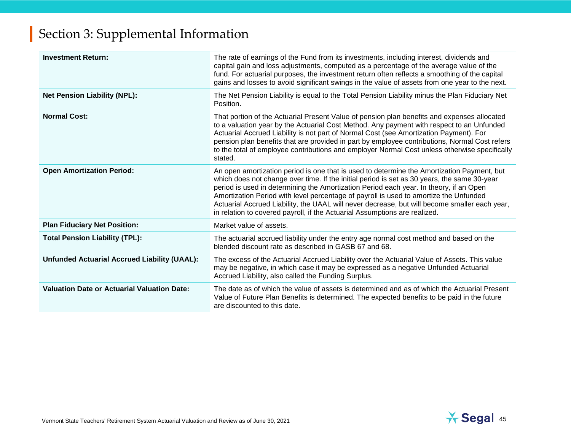| <b>Investment Return:</b>                           | The rate of earnings of the Fund from its investments, including interest, dividends and<br>capital gain and loss adjustments, computed as a percentage of the average value of the<br>fund. For actuarial purposes, the investment return often reflects a smoothing of the capital<br>gains and losses to avoid significant swings in the value of assets from one year to the next.                                                                                                                                                                      |
|-----------------------------------------------------|-------------------------------------------------------------------------------------------------------------------------------------------------------------------------------------------------------------------------------------------------------------------------------------------------------------------------------------------------------------------------------------------------------------------------------------------------------------------------------------------------------------------------------------------------------------|
| <b>Net Pension Liability (NPL):</b>                 | The Net Pension Liability is equal to the Total Pension Liability minus the Plan Fiduciary Net<br>Position.                                                                                                                                                                                                                                                                                                                                                                                                                                                 |
| <b>Normal Cost:</b>                                 | That portion of the Actuarial Present Value of pension plan benefits and expenses allocated<br>to a valuation year by the Actuarial Cost Method. Any payment with respect to an Unfunded<br>Actuarial Accrued Liability is not part of Normal Cost (see Amortization Payment). For<br>pension plan benefits that are provided in part by employee contributions, Normal Cost refers<br>to the total of employee contributions and employer Normal Cost unless otherwise specifically<br>stated.                                                             |
| <b>Open Amortization Period:</b>                    | An open amortization period is one that is used to determine the Amortization Payment, but<br>which does not change over time. If the initial period is set as 30 years, the same 30-year<br>period is used in determining the Amortization Period each year. In theory, if an Open<br>Amortization Period with level percentage of payroll is used to amortize the Unfunded<br>Actuarial Accrued Liability, the UAAL will never decrease, but will become smaller each year,<br>in relation to covered payroll, if the Actuarial Assumptions are realized. |
| <b>Plan Fiduciary Net Position:</b>                 | Market value of assets.                                                                                                                                                                                                                                                                                                                                                                                                                                                                                                                                     |
| <b>Total Pension Liability (TPL):</b>               | The actuarial accrued liability under the entry age normal cost method and based on the<br>blended discount rate as described in GASB 67 and 68.                                                                                                                                                                                                                                                                                                                                                                                                            |
| <b>Unfunded Actuarial Accrued Liability (UAAL):</b> | The excess of the Actuarial Accrued Liability over the Actuarial Value of Assets. This value<br>may be negative, in which case it may be expressed as a negative Unfunded Actuarial<br>Accrued Liability, also called the Funding Surplus.                                                                                                                                                                                                                                                                                                                  |
| <b>Valuation Date or Actuarial Valuation Date:</b>  | The date as of which the value of assets is determined and as of which the Actuarial Present<br>Value of Future Plan Benefits is determined. The expected benefits to be paid in the future<br>are discounted to this date.                                                                                                                                                                                                                                                                                                                                 |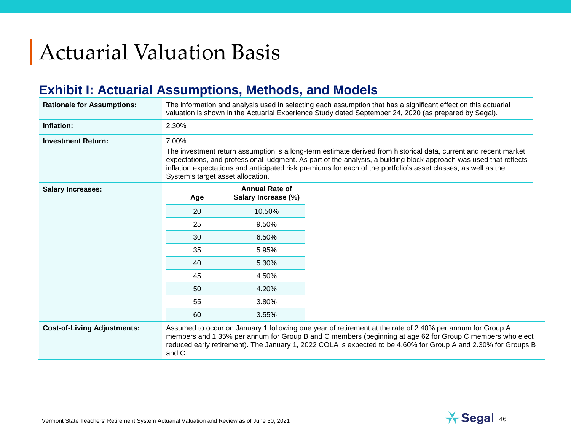# Actuarial Valuation Basis

## **Exhibit I: Actuarial Assumptions, Methods, and Models**

| <b>Rationale for Assumptions:</b>  | The information and analysis used in selecting each assumption that has a significant effect on this actuarial<br>valuation is shown in the Actuarial Experience Study dated September 24, 2020 (as prepared by Segal).                                                                                                                                                                       |                                              |                                                                                                                                                                                                                                                                                                                                         |  |  |  |  |
|------------------------------------|-----------------------------------------------------------------------------------------------------------------------------------------------------------------------------------------------------------------------------------------------------------------------------------------------------------------------------------------------------------------------------------------------|----------------------------------------------|-----------------------------------------------------------------------------------------------------------------------------------------------------------------------------------------------------------------------------------------------------------------------------------------------------------------------------------------|--|--|--|--|
| Inflation:                         | 2.30%                                                                                                                                                                                                                                                                                                                                                                                         |                                              |                                                                                                                                                                                                                                                                                                                                         |  |  |  |  |
| <b>Investment Return:</b>          | 7.00%                                                                                                                                                                                                                                                                                                                                                                                         |                                              |                                                                                                                                                                                                                                                                                                                                         |  |  |  |  |
|                                    | The investment return assumption is a long-term estimate derived from historical data, current and recent market<br>expectations, and professional judgment. As part of the analysis, a building block approach was used that reflects<br>inflation expectations and anticipated risk premiums for each of the portfolio's asset classes, as well as the<br>System's target asset allocation. |                                              |                                                                                                                                                                                                                                                                                                                                         |  |  |  |  |
| <b>Salary Increases:</b>           | Age                                                                                                                                                                                                                                                                                                                                                                                           | <b>Annual Rate of</b><br>Salary Increase (%) |                                                                                                                                                                                                                                                                                                                                         |  |  |  |  |
|                                    | 20                                                                                                                                                                                                                                                                                                                                                                                            | 10.50%                                       |                                                                                                                                                                                                                                                                                                                                         |  |  |  |  |
|                                    | 25                                                                                                                                                                                                                                                                                                                                                                                            | 9.50%                                        |                                                                                                                                                                                                                                                                                                                                         |  |  |  |  |
|                                    | 30                                                                                                                                                                                                                                                                                                                                                                                            | 6.50%                                        |                                                                                                                                                                                                                                                                                                                                         |  |  |  |  |
|                                    | 35                                                                                                                                                                                                                                                                                                                                                                                            | 5.95%                                        |                                                                                                                                                                                                                                                                                                                                         |  |  |  |  |
|                                    | 40                                                                                                                                                                                                                                                                                                                                                                                            | 5.30%                                        |                                                                                                                                                                                                                                                                                                                                         |  |  |  |  |
|                                    | 45                                                                                                                                                                                                                                                                                                                                                                                            | 4.50%                                        |                                                                                                                                                                                                                                                                                                                                         |  |  |  |  |
|                                    | 50                                                                                                                                                                                                                                                                                                                                                                                            | 4.20%                                        |                                                                                                                                                                                                                                                                                                                                         |  |  |  |  |
|                                    | 55                                                                                                                                                                                                                                                                                                                                                                                            | 3.80%                                        |                                                                                                                                                                                                                                                                                                                                         |  |  |  |  |
|                                    | 60                                                                                                                                                                                                                                                                                                                                                                                            | 3.55%                                        |                                                                                                                                                                                                                                                                                                                                         |  |  |  |  |
| <b>Cost-of-Living Adjustments:</b> | and C.                                                                                                                                                                                                                                                                                                                                                                                        |                                              | Assumed to occur on January 1 following one year of retirement at the rate of 2.40% per annum for Group A<br>members and 1.35% per annum for Group B and C members (beginning at age 62 for Group C members who elect<br>reduced early retirement). The January 1, 2022 COLA is expected to be 4.60% for Group A and 2.30% for Groups B |  |  |  |  |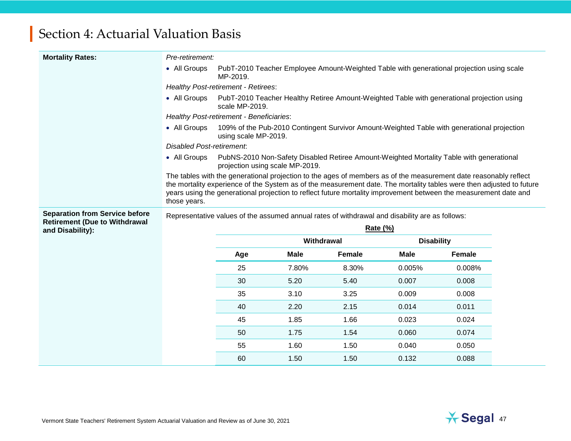| <b>Mortality Rates:</b>                                  | Pre-retirement:                                                                                |                                                                                                              |             |                                                                                                                                                                                                                                                                                                                                                              |                   |        |  |  |
|----------------------------------------------------------|------------------------------------------------------------------------------------------------|--------------------------------------------------------------------------------------------------------------|-------------|--------------------------------------------------------------------------------------------------------------------------------------------------------------------------------------------------------------------------------------------------------------------------------------------------------------------------------------------------------------|-------------------|--------|--|--|
|                                                          | • All Groups                                                                                   | PubT-2010 Teacher Employee Amount-Weighted Table with generational projection using scale<br>MP-2019.        |             |                                                                                                                                                                                                                                                                                                                                                              |                   |        |  |  |
|                                                          | <b>Healthy Post-retirement - Retirees:</b>                                                     |                                                                                                              |             |                                                                                                                                                                                                                                                                                                                                                              |                   |        |  |  |
|                                                          | • All Groups                                                                                   | PubT-2010 Teacher Healthy Retiree Amount-Weighted Table with generational projection using<br>scale MP-2019. |             |                                                                                                                                                                                                                                                                                                                                                              |                   |        |  |  |
|                                                          |                                                                                                | Healthy Post-retirement - Beneficiaries:                                                                     |             |                                                                                                                                                                                                                                                                                                                                                              |                   |        |  |  |
|                                                          | • All Groups                                                                                   | using scale MP-2019.                                                                                         |             | 109% of the Pub-2010 Contingent Survivor Amount-Weighted Table with generational projection                                                                                                                                                                                                                                                                  |                   |        |  |  |
|                                                          | <b>Disabled Post-retirement.</b>                                                               |                                                                                                              |             |                                                                                                                                                                                                                                                                                                                                                              |                   |        |  |  |
|                                                          | • All Groups                                                                                   | projection using scale MP-2019.                                                                              |             | PubNS-2010 Non-Safety Disabled Retiree Amount-Weighted Mortality Table with generational                                                                                                                                                                                                                                                                     |                   |        |  |  |
|                                                          | those years.                                                                                   |                                                                                                              |             | The tables with the generational projection to the ages of members as of the measurement date reasonably reflect<br>the mortality experience of the System as of the measurement date. The mortality tables were then adjusted to future<br>years using the generational projection to reflect future mortality improvement between the measurement date and |                   |        |  |  |
|                                                          | Representative values of the assumed annual rates of withdrawal and disability are as follows: |                                                                                                              |             |                                                                                                                                                                                                                                                                                                                                                              |                   |        |  |  |
| <b>Separation from Service before</b>                    |                                                                                                |                                                                                                              |             |                                                                                                                                                                                                                                                                                                                                                              |                   |        |  |  |
| <b>Retirement (Due to Withdrawal</b><br>and Disability): |                                                                                                |                                                                                                              |             | Rate (%)                                                                                                                                                                                                                                                                                                                                                     |                   |        |  |  |
|                                                          |                                                                                                |                                                                                                              | Withdrawal  |                                                                                                                                                                                                                                                                                                                                                              | <b>Disability</b> |        |  |  |
|                                                          |                                                                                                | Age                                                                                                          | <b>Male</b> | <b>Female</b>                                                                                                                                                                                                                                                                                                                                                | <b>Male</b>       | Female |  |  |
|                                                          |                                                                                                | 25                                                                                                           | 7.80%       | 8.30%                                                                                                                                                                                                                                                                                                                                                        | 0.005%            | 0.008% |  |  |
|                                                          |                                                                                                | 30                                                                                                           | 5.20        | 5.40                                                                                                                                                                                                                                                                                                                                                         | 0.007             | 0.008  |  |  |
|                                                          |                                                                                                | 35                                                                                                           | 3.10        | 3.25                                                                                                                                                                                                                                                                                                                                                         | 0.009             | 0.008  |  |  |
|                                                          |                                                                                                | 40                                                                                                           | 2.20        | 2.15                                                                                                                                                                                                                                                                                                                                                         | 0.014             | 0.011  |  |  |
|                                                          |                                                                                                | 45                                                                                                           | 1.85        | 1.66                                                                                                                                                                                                                                                                                                                                                         | 0.023             | 0.024  |  |  |
|                                                          |                                                                                                | 50                                                                                                           | 1.75        | 1.54                                                                                                                                                                                                                                                                                                                                                         | 0.060             | 0.074  |  |  |
|                                                          |                                                                                                | 55                                                                                                           | 1.60        | 1.50                                                                                                                                                                                                                                                                                                                                                         | 0.040             | 0.050  |  |  |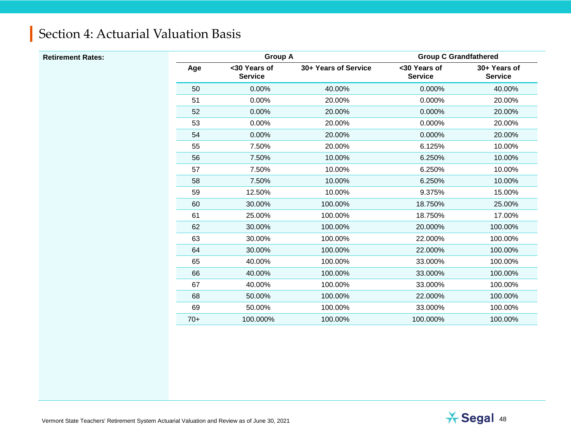| <b>Retirement Rates:</b> |       | <b>Group A</b>                 |                      | <b>Group C Grandfathered</b>   |                                |  |
|--------------------------|-------|--------------------------------|----------------------|--------------------------------|--------------------------------|--|
|                          | Age   | <30 Years of<br><b>Service</b> | 30+ Years of Service | <30 Years of<br><b>Service</b> | 30+ Years of<br><b>Service</b> |  |
|                          | 50    | 0.00%                          | 40.00%               | 0.000%                         | 40.00%                         |  |
|                          | 51    | 0.00%                          | 20.00%               | 0.000%                         | 20.00%                         |  |
|                          | 52    | 0.00%                          | 20.00%               | 0.000%                         | 20.00%                         |  |
|                          | 53    | 0.00%                          | 20.00%               | 0.000%                         | 20.00%                         |  |
|                          | 54    | 0.00%                          | 20.00%               | 0.000%                         | 20.00%                         |  |
|                          | 55    | 7.50%                          | 20.00%               | 6.125%                         | 10.00%                         |  |
|                          | 56    | 7.50%                          | 10.00%               | 6.250%                         | 10.00%                         |  |
|                          | 57    | 7.50%                          | 10.00%               | 6.250%                         | 10.00%                         |  |
|                          | 58    | 7.50%                          | 10.00%               | 6.250%                         | 10.00%                         |  |
|                          | 59    | 12.50%                         | 10.00%               | 9.375%                         | 15.00%                         |  |
|                          | 60    | 30.00%                         | 100.00%              | 18.750%                        | 25.00%                         |  |
|                          | 61    | 25.00%                         | 100.00%              | 18.750%                        | 17.00%                         |  |
|                          | 62    | 30.00%                         | 100.00%              | 20.000%                        | 100.00%                        |  |
|                          | 63    | 30.00%                         | 100.00%              | 22.000%                        | 100.00%                        |  |
|                          | 64    | 30.00%                         | 100.00%              | 22.000%                        | 100.00%                        |  |
|                          | 65    | 40.00%                         | 100.00%              | 33.000%                        | 100.00%                        |  |
|                          | 66    | 40.00%                         | 100.00%              | 33.000%                        | 100.00%                        |  |
|                          | 67    | 40.00%                         | 100.00%              | 33.000%                        | 100.00%                        |  |
|                          | 68    | 50.00%                         | 100.00%              | 22.000%                        | 100.00%                        |  |
|                          | 69    | 50.00%                         | 100.00%              | 33.000%                        | 100.00%                        |  |
|                          | $70+$ | 100.000%                       | 100.00%              | 100.000%                       | 100.00%                        |  |

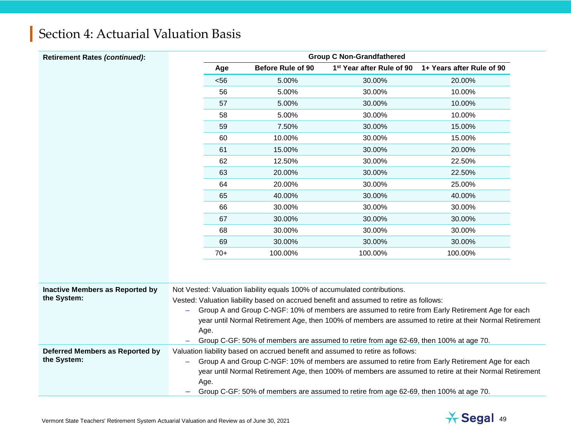| Section 4: Actuarial Valuation Basis |
|--------------------------------------|
|--------------------------------------|

| <b>Retirement Rates (continued):</b>   |                          | <b>Group C Non-Grandfathered</b>                                                                                                                                                           |                          |                                                                                       |                                                                                                         |  |  |  |
|----------------------------------------|--------------------------|--------------------------------------------------------------------------------------------------------------------------------------------------------------------------------------------|--------------------------|---------------------------------------------------------------------------------------|---------------------------------------------------------------------------------------------------------|--|--|--|
|                                        |                          | Age                                                                                                                                                                                        | <b>Before Rule of 90</b> | 1 <sup>st</sup> Year after Rule of 90                                                 | 1+ Years after Rule of 90                                                                               |  |  |  |
|                                        |                          | < 56                                                                                                                                                                                       | 5.00%                    | 30.00%                                                                                | 20.00%                                                                                                  |  |  |  |
|                                        |                          | 56                                                                                                                                                                                         | 5.00%                    | 30.00%                                                                                | 10.00%                                                                                                  |  |  |  |
|                                        |                          | 57                                                                                                                                                                                         | 5.00%                    | 30.00%                                                                                | 10.00%                                                                                                  |  |  |  |
|                                        |                          | 58                                                                                                                                                                                         | 5.00%                    | 30.00%                                                                                | 10.00%                                                                                                  |  |  |  |
|                                        |                          | 59                                                                                                                                                                                         | 7.50%                    | 30.00%                                                                                | 15.00%                                                                                                  |  |  |  |
|                                        |                          | 60                                                                                                                                                                                         | 10.00%                   | 30.00%                                                                                | 15.00%                                                                                                  |  |  |  |
|                                        |                          | 61                                                                                                                                                                                         | 15.00%                   | 30.00%                                                                                | 20.00%                                                                                                  |  |  |  |
|                                        |                          | 62                                                                                                                                                                                         | 12.50%                   | 30.00%                                                                                | 22.50%                                                                                                  |  |  |  |
|                                        |                          | 63                                                                                                                                                                                         | 20.00%                   | 30.00%                                                                                | 22.50%                                                                                                  |  |  |  |
|                                        |                          | 64                                                                                                                                                                                         | 20.00%                   | 30.00%                                                                                | 25.00%                                                                                                  |  |  |  |
|                                        |                          | 65                                                                                                                                                                                         | 40.00%                   | 30.00%                                                                                | 40.00%                                                                                                  |  |  |  |
|                                        |                          | 66                                                                                                                                                                                         | 30.00%                   | 30.00%                                                                                | 30.00%                                                                                                  |  |  |  |
|                                        |                          | 67                                                                                                                                                                                         | 30.00%                   | 30.00%                                                                                | 30.00%                                                                                                  |  |  |  |
|                                        |                          | 68                                                                                                                                                                                         | 30.00%                   | 30.00%                                                                                | 30.00%                                                                                                  |  |  |  |
|                                        |                          | 69                                                                                                                                                                                         | 30.00%                   | 30.00%                                                                                | 30.00%                                                                                                  |  |  |  |
|                                        |                          | $70+$                                                                                                                                                                                      | 100.00%                  | 100.00%                                                                               | 100.00%                                                                                                 |  |  |  |
|                                        |                          |                                                                                                                                                                                            |                          |                                                                                       |                                                                                                         |  |  |  |
| <b>Inactive Members as Reported by</b> |                          | Not Vested: Valuation liability equals 100% of accumulated contributions.                                                                                                                  |                          |                                                                                       |                                                                                                         |  |  |  |
| the System:                            |                          | Vested: Valuation liability based on accrued benefit and assumed to retire as follows:<br>Group A and Group C-NGF: 10% of members are assumed to retire from Early Retirement Age for each |                          |                                                                                       |                                                                                                         |  |  |  |
|                                        | $\overline{\phantom{0}}$ |                                                                                                                                                                                            |                          |                                                                                       | year until Normal Retirement Age, then 100% of members are assumed to retire at their Normal Retirement |  |  |  |
|                                        |                          | Age.                                                                                                                                                                                       |                          |                                                                                       |                                                                                                         |  |  |  |
|                                        |                          |                                                                                                                                                                                            |                          | Group C-GF: 50% of members are assumed to retire from age 62-69, then 100% at age 70. |                                                                                                         |  |  |  |
| Deferred Members as Reported by        |                          |                                                                                                                                                                                            |                          | Valuation liability based on accrued benefit and assumed to retire as follows:        |                                                                                                         |  |  |  |
| the System:                            | $\overline{\phantom{0}}$ |                                                                                                                                                                                            |                          |                                                                                       | Group A and Group C-NGF: 10% of members are assumed to retire from Early Retirement Age for each        |  |  |  |
|                                        |                          |                                                                                                                                                                                            |                          |                                                                                       | year until Normal Retirement Age, then 100% of members are assumed to retire at their Normal Retirement |  |  |  |
|                                        |                          | Age.                                                                                                                                                                                       |                          |                                                                                       |                                                                                                         |  |  |  |
|                                        |                          |                                                                                                                                                                                            |                          | Group C-GF: 50% of members are assumed to retire from age 62-69, then 100% at age 70. |                                                                                                         |  |  |  |

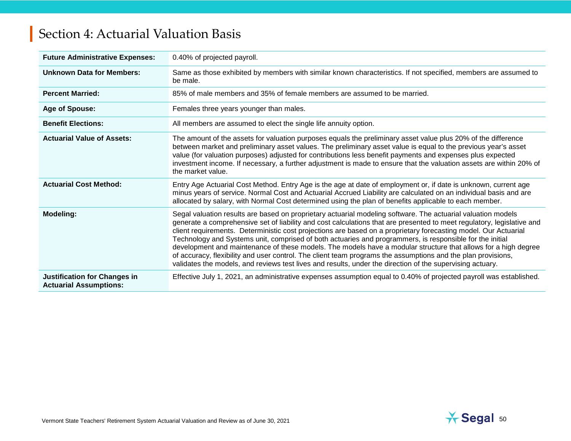| <b>Future Administrative Expenses:</b>                               | 0.40% of projected payroll.                                                                                                                                                                                                                                                                                                                                                                                                                                                                                                                                                                                                                                                                                                                                                                                          |
|----------------------------------------------------------------------|----------------------------------------------------------------------------------------------------------------------------------------------------------------------------------------------------------------------------------------------------------------------------------------------------------------------------------------------------------------------------------------------------------------------------------------------------------------------------------------------------------------------------------------------------------------------------------------------------------------------------------------------------------------------------------------------------------------------------------------------------------------------------------------------------------------------|
| <b>Unknown Data for Members:</b>                                     | Same as those exhibited by members with similar known characteristics. If not specified, members are assumed to<br>be male.                                                                                                                                                                                                                                                                                                                                                                                                                                                                                                                                                                                                                                                                                          |
| <b>Percent Married:</b>                                              | 85% of male members and 35% of female members are assumed to be married.                                                                                                                                                                                                                                                                                                                                                                                                                                                                                                                                                                                                                                                                                                                                             |
| Age of Spouse:                                                       | Females three years younger than males.                                                                                                                                                                                                                                                                                                                                                                                                                                                                                                                                                                                                                                                                                                                                                                              |
| <b>Benefit Elections:</b>                                            | All members are assumed to elect the single life annuity option.                                                                                                                                                                                                                                                                                                                                                                                                                                                                                                                                                                                                                                                                                                                                                     |
| <b>Actuarial Value of Assets:</b>                                    | The amount of the assets for valuation purposes equals the preliminary asset value plus 20% of the difference<br>between market and preliminary asset values. The preliminary asset value is equal to the previous year's asset<br>value (for valuation purposes) adjusted for contributions less benefit payments and expenses plus expected<br>investment income. If necessary, a further adjustment is made to ensure that the valuation assets are within 20% of<br>the market value.                                                                                                                                                                                                                                                                                                                            |
| <b>Actuarial Cost Method:</b>                                        | Entry Age Actuarial Cost Method. Entry Age is the age at date of employment or, if date is unknown, current age<br>minus years of service. Normal Cost and Actuarial Accrued Liability are calculated on an individual basis and are<br>allocated by salary, with Normal Cost determined using the plan of benefits applicable to each member.                                                                                                                                                                                                                                                                                                                                                                                                                                                                       |
| <b>Modeling:</b>                                                     | Segal valuation results are based on proprietary actuarial modeling software. The actuarial valuation models<br>generate a comprehensive set of liability and cost calculations that are presented to meet regulatory, legislative and<br>client requirements. Deterministic cost projections are based on a proprietary forecasting model. Our Actuarial<br>Technology and Systems unit, comprised of both actuaries and programmers, is responsible for the initial<br>development and maintenance of these models. The models have a modular structure that allows for a high degree<br>of accuracy, flexibility and user control. The client team programs the assumptions and the plan provisions,<br>validates the models, and reviews test lives and results, under the direction of the supervising actuary. |
| <b>Justification for Changes in</b><br><b>Actuarial Assumptions:</b> | Effective July 1, 2021, an administrative expenses assumption equal to 0.40% of projected payroll was established.                                                                                                                                                                                                                                                                                                                                                                                                                                                                                                                                                                                                                                                                                                   |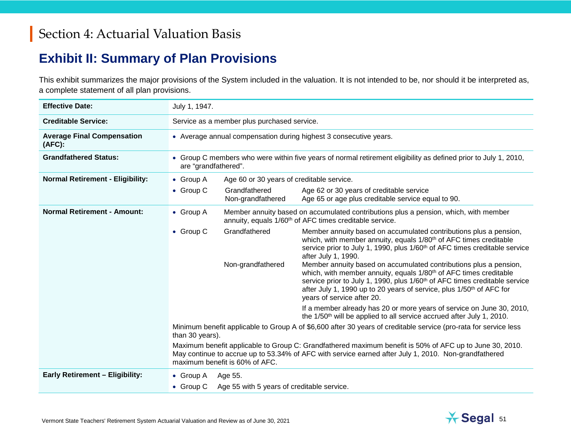#### **Exhibit II: Summary of Plan Provisions**

This exhibit summarizes the major provisions of the System included in the valuation. It is not intended to be, nor should it be interpreted as, a complete statement of all plan provisions.

| <b>Effective Date:</b>                      | July 1, 1947.                                                                                                                                                                                                                                     |                                             |                                                                                                                                                                                                                                                                                                                                                                                                                                                                                                                                                                                                                                                                                                                |  |  |  |  |
|---------------------------------------------|---------------------------------------------------------------------------------------------------------------------------------------------------------------------------------------------------------------------------------------------------|---------------------------------------------|----------------------------------------------------------------------------------------------------------------------------------------------------------------------------------------------------------------------------------------------------------------------------------------------------------------------------------------------------------------------------------------------------------------------------------------------------------------------------------------------------------------------------------------------------------------------------------------------------------------------------------------------------------------------------------------------------------------|--|--|--|--|
| <b>Creditable Service:</b>                  |                                                                                                                                                                                                                                                   | Service as a member plus purchased service. |                                                                                                                                                                                                                                                                                                                                                                                                                                                                                                                                                                                                                                                                                                                |  |  |  |  |
| <b>Average Final Compensation</b><br>(AFC): |                                                                                                                                                                                                                                                   |                                             | • Average annual compensation during highest 3 consecutive years.                                                                                                                                                                                                                                                                                                                                                                                                                                                                                                                                                                                                                                              |  |  |  |  |
| <b>Grandfathered Status:</b>                | are "grandfathered".                                                                                                                                                                                                                              |                                             | • Group C members who were within five years of normal retirement eligibility as defined prior to July 1, 2010,                                                                                                                                                                                                                                                                                                                                                                                                                                                                                                                                                                                                |  |  |  |  |
| <b>Normal Retirement - Eligibility:</b>     | $\bullet$ Group A                                                                                                                                                                                                                                 | Age 60 or 30 years of creditable service.   |                                                                                                                                                                                                                                                                                                                                                                                                                                                                                                                                                                                                                                                                                                                |  |  |  |  |
|                                             | $\bullet$ Group C                                                                                                                                                                                                                                 | Grandfathered<br>Non-grandfathered          | Age 62 or 30 years of creditable service<br>Age 65 or age plus creditable service equal to 90.                                                                                                                                                                                                                                                                                                                                                                                                                                                                                                                                                                                                                 |  |  |  |  |
| <b>Normal Retirement - Amount:</b>          | $\bullet$ Group A                                                                                                                                                                                                                                 |                                             | Member annuity based on accumulated contributions plus a pension, which, with member<br>annuity, equals 1/60 <sup>th</sup> of AFC times creditable service.                                                                                                                                                                                                                                                                                                                                                                                                                                                                                                                                                    |  |  |  |  |
|                                             | $\bullet$ Group C                                                                                                                                                                                                                                 | Grandfathered<br>Non-grandfathered          | Member annuity based on accumulated contributions plus a pension,<br>which, with member annuity, equals 1/80 <sup>th</sup> of AFC times creditable<br>service prior to July 1, 1990, plus 1/60 <sup>th</sup> of AFC times creditable service<br>after July 1, 1990.<br>Member annuity based on accumulated contributions plus a pension,<br>which, with member annuity, equals 1/80 <sup>th</sup> of AFC times creditable<br>service prior to July 1, 1990, plus 1/60 <sup>th</sup> of AFC times creditable service<br>after July 1, 1990 up to 20 years of service, plus 1/50 <sup>th</sup> of AFC for<br>years of service after 20.<br>If a member already has 20 or more years of service on June 30, 2010, |  |  |  |  |
|                                             |                                                                                                                                                                                                                                                   |                                             | the 1/50 <sup>th</sup> will be applied to all service accrued after July 1, 2010.<br>Minimum benefit applicable to Group A of \$6,600 after 30 years of creditable service (pro-rata for service less                                                                                                                                                                                                                                                                                                                                                                                                                                                                                                          |  |  |  |  |
|                                             | than 30 years).                                                                                                                                                                                                                                   |                                             |                                                                                                                                                                                                                                                                                                                                                                                                                                                                                                                                                                                                                                                                                                                |  |  |  |  |
|                                             | Maximum benefit applicable to Group C: Grandfathered maximum benefit is 50% of AFC up to June 30, 2010.<br>May continue to accrue up to 53.34% of AFC with service earned after July 1, 2010. Non-grandfathered<br>maximum benefit is 60% of AFC. |                                             |                                                                                                                                                                                                                                                                                                                                                                                                                                                                                                                                                                                                                                                                                                                |  |  |  |  |
| <b>Early Retirement - Eligibility:</b>      | • Group $A$                                                                                                                                                                                                                                       | Age 55.                                     |                                                                                                                                                                                                                                                                                                                                                                                                                                                                                                                                                                                                                                                                                                                |  |  |  |  |
|                                             | $\bullet$ Group C                                                                                                                                                                                                                                 | Age 55 with 5 years of creditable service.  |                                                                                                                                                                                                                                                                                                                                                                                                                                                                                                                                                                                                                                                                                                                |  |  |  |  |

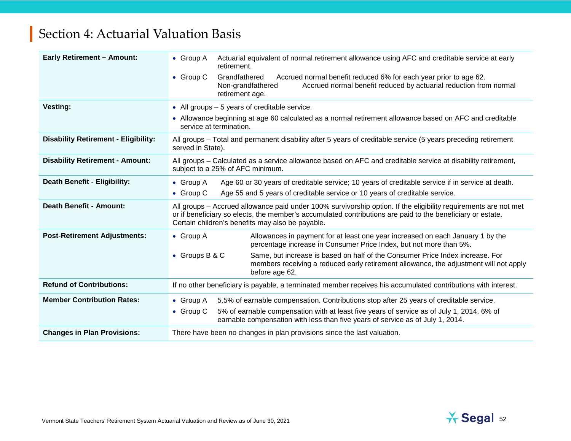| <b>Early Retirement - Amount:</b>           | Actuarial equivalent of normal retirement allowance using AFC and creditable service at early<br>• Group A<br>retirement.                                                                                                                                                         |
|---------------------------------------------|-----------------------------------------------------------------------------------------------------------------------------------------------------------------------------------------------------------------------------------------------------------------------------------|
|                                             | Grandfathered<br>Accrued normal benefit reduced 6% for each year prior to age 62.<br>$\bullet$ Group C<br>Accrued normal benefit reduced by actuarial reduction from normal<br>Non-grandfathered<br>retirement age.                                                               |
| <b>Vesting:</b>                             | • All groups $-5$ years of creditable service.                                                                                                                                                                                                                                    |
|                                             | • Allowance beginning at age 60 calculated as a normal retirement allowance based on AFC and creditable<br>service at termination.                                                                                                                                                |
| <b>Disability Retirement - Eligibility:</b> | All groups – Total and permanent disability after 5 years of creditable service (5 years preceding retirement<br>served in State).                                                                                                                                                |
| <b>Disability Retirement - Amount:</b>      | All groups - Calculated as a service allowance based on AFC and creditable service at disability retirement,<br>subject to a 25% of AFC minimum.                                                                                                                                  |
| <b>Death Benefit - Eligibility:</b>         | Age 60 or 30 years of creditable service; 10 years of creditable service if in service at death.<br>$\bullet$ Group A                                                                                                                                                             |
|                                             | Age 55 and 5 years of creditable service or 10 years of creditable service.<br>$\bullet$ Group C                                                                                                                                                                                  |
| <b>Death Benefit - Amount:</b>              | All groups - Accrued allowance paid under 100% survivorship option. If the eligibility requirements are not met<br>or if beneficiary so elects, the member's accumulated contributions are paid to the beneficiary or estate.<br>Certain children's benefits may also be payable. |
| <b>Post-Retirement Adjustments:</b>         | • Group A<br>Allowances in payment for at least one year increased on each January 1 by the<br>percentage increase in Consumer Price Index, but not more than 5%.                                                                                                                 |
|                                             | Same, but increase is based on half of the Consumer Price Index increase. For<br>• Groups B & C<br>members receiving a reduced early retirement allowance, the adjustment will not apply<br>before age 62.                                                                        |
| <b>Refund of Contributions:</b>             | If no other beneficiary is payable, a terminated member receives his accumulated contributions with interest.                                                                                                                                                                     |
| <b>Member Contribution Rates:</b>           | 5.5% of earnable compensation. Contributions stop after 25 years of creditable service.<br>$\bullet$ Group A                                                                                                                                                                      |
|                                             | 5% of earnable compensation with at least five years of service as of July 1, 2014. 6% of<br>$\bullet$ Group C<br>earnable compensation with less than five years of service as of July 1, 2014.                                                                                  |
| <b>Changes in Plan Provisions:</b>          | There have been no changes in plan provisions since the last valuation.                                                                                                                                                                                                           |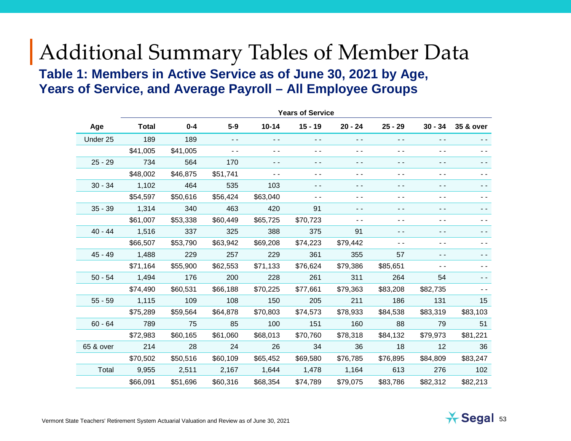# Additional Summary Tables of Member Data **Table 1: Members in Active Service as of June 30, 2021 by Age, Years of Service, and Average Payroll – All Employee Groups**

|           | <b>Years of Service</b> |          |               |           |               |           |                          |                |           |
|-----------|-------------------------|----------|---------------|-----------|---------------|-----------|--------------------------|----------------|-----------|
| Age       | <b>Total</b>            | $0 - 4$  | $5-9$         | $10 - 14$ | $15 - 19$     | $20 - 24$ | $25 - 29$                | $30 - 34$      | 35 & over |
| Under 25  | 189                     | 189      | $ -$          | - -       | $\frac{1}{2}$ | - -       | - -                      | - -            |           |
|           | \$41,005                | \$41,005 | $\sim$ $\sim$ | - -       | - -           | $ -$      | - -                      | $ -$           | - -       |
| $25 - 29$ | 734                     | 564      | 170           | - -       | ۰.            | - -       | - -                      | - -            | - -       |
|           | \$48,002                | \$46,875 | \$51,741      | - -       | - -           | $ -$      | - -                      | $ -$           | - -       |
| $30 - 34$ | 1,102                   | 464      | 535           | 103       | $\frac{1}{2}$ | $ -$      | ۰.                       | $\sim$ $\sim$  | - -       |
|           | \$54,597                | \$50,616 | \$56,424      | \$63,040  | - -           | $ -$      | $ -$                     | $ -$           | - -       |
| $35 - 39$ | 1,314                   | 340      | 463           | 420       | 91            | $ -$      | - -                      | $ -$           | - -       |
|           | \$61,007                | \$53,338 | \$60,449      | \$65,725  | \$70,723      | ۰.        | - -                      | $\sim$ $\sim$  | - -       |
| $40 - 44$ | 1,516                   | 337      | 325           | 388       | 375           | 91        | - -                      | $ -$           | - -       |
|           | \$66,507                | \$53,790 | \$63,942      | \$69,208  | \$74,223      | \$79,442  | $\overline{\phantom{a}}$ | ۰.             |           |
| $45 - 49$ | 1,488                   | 229      | 257           | 229       | 361           | 355       | 57                       | $\overline{a}$ |           |
|           | \$71,164                | \$55,900 | \$62,553      | \$71,133  | \$76,624      | \$79,386  | \$85,651                 | - -            |           |
| $50 - 54$ | 1,494                   | 176      | 200           | 228       | 261           | 311       | 264                      | 54             |           |
|           | \$74,490                | \$60,531 | \$66,188      | \$70,225  | \$77,661      | \$79,363  | \$83,208                 | \$82,735       |           |
| $55 - 59$ | 1,115                   | 109      | 108           | 150       | 205           | 211       | 186                      | 131            | 15        |
|           | \$75,289                | \$59,564 | \$64,878      | \$70,803  | \$74,573      | \$78,933  | \$84,538                 | \$83,319       | \$83,103  |
| $60 - 64$ | 789                     | 75       | 85            | 100       | 151           | 160       | 88                       | 79             | 51        |
|           | \$72,983                | \$60,165 | \$61,060      | \$68,013  | \$70,760      | \$78,318  | \$84,132                 | \$79,973       | \$81,221  |
| 65 & over | 214                     | 28       | 24            | 26        | 34            | 36        | 18                       | 12             | 36        |
|           | \$70,502                | \$50,516 | \$60,109      | \$65,452  | \$69,580      | \$76,785  | \$76,895                 | \$84,809       | \$83,247  |
| Total     | 9,955                   | 2,511    | 2,167         | 1,644     | 1,478         | 1,164     | 613                      | 276            | 102       |
|           | \$66,091                | \$51,696 | \$60,316      | \$68,354  | \$74,789      | \$79,075  | \$83,786                 | \$82,312       | \$82,213  |
|           |                         |          |               |           |               |           |                          |                |           |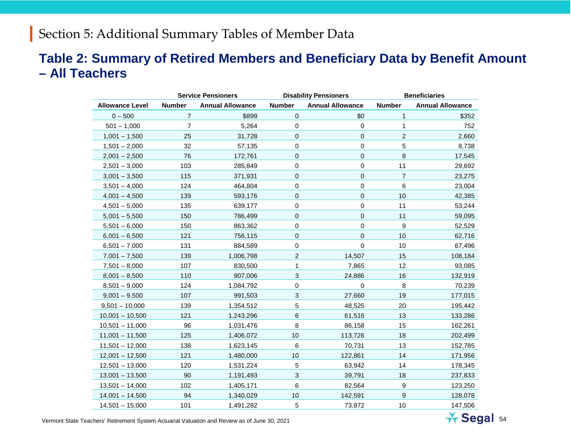#### **Table 2: Summary of Retired Members and Beneficiary Data by Benefit Amount – All Teachers**

|                        | <b>Service Pensioners</b>                |           |                | <b>Disability Pensioners</b> | <b>Beneficiaries</b>                     |         |  |
|------------------------|------------------------------------------|-----------|----------------|------------------------------|------------------------------------------|---------|--|
| <b>Allowance Level</b> | <b>Number</b><br><b>Annual Allowance</b> |           | <b>Number</b>  | <b>Annual Allowance</b>      | <b>Number</b><br><b>Annual Allowance</b> |         |  |
| $0 - 500$              | $\overline{7}$                           | \$899     | $\mathbf 0$    | \$0                          | 1                                        | \$352   |  |
| $501 - 1,000$          | $\overline{7}$                           | 5,264     | $\pmb{0}$      | 0                            | 1                                        | 752     |  |
| $1,001 - 1,500$        | 25                                       | 31,728    | 0              | 0                            | $\overline{c}$                           | 2,660   |  |
| $1,501 - 2,000$        | 32                                       | 57,135    | 0              | 0                            | 5                                        | 8,738   |  |
| $2,001 - 2,500$        | 76                                       | 172,761   | $\mathbf 0$    | 0                            | 8                                        | 17,545  |  |
| $2,501 - 3,000$        | 103                                      | 285,849   | $\pmb{0}$      | 0                            | 11                                       | 29,692  |  |
| $3,001 - 3,500$        | 115                                      | 371,931   | $\mathbf 0$    | 0                            | $\overline{7}$                           | 23,275  |  |
| $3,501 - 4,000$        | 124                                      | 464,804   | 0              | 0                            | 6                                        | 23,004  |  |
| $4,001 - 4,500$        | 139                                      | 593,176   | $\mathbf{0}$   | 0                            | 10                                       | 42,385  |  |
| $4,501 - 5,000$        | 135                                      | 639,177   | 0              | 0                            | 11                                       | 53,244  |  |
| $5,001 - 5,500$        | 150                                      | 786,499   | 0              | 0                            | 11                                       | 59,095  |  |
| $5,501 - 6,000$        | 150                                      | 863,362   | $\mathbf 0$    | 0                            | 9                                        | 52,529  |  |
| $6,001 - 6,500$        | 121                                      | 756,115   | $\mathbf 0$    | 0                            | 10                                       | 62,716  |  |
| $6,501 - 7,000$        | 131                                      | 884,589   | 0              | 0                            | 10                                       | 67,496  |  |
| $7,001 - 7,500$        | 139                                      | 1,006,798 | $\overline{c}$ | 14,507                       | 15                                       | 108,184 |  |
| $7,501 - 8,000$        | 107                                      | 830,500   | 1              | 7,865                        | 12                                       | 93,085  |  |
| $8,001 - 8,500$        | 110                                      | 907,006   | 3              | 24,886                       | 16                                       | 132,919 |  |
| $8,501 - 9,000$        | 124                                      | 1,084,792 | $\pmb{0}$      | 0                            | 8                                        | 70,239  |  |
| $9,001 - 9,500$        | 107                                      | 991,503   | 3              | 27,660                       | 19                                       | 177,015 |  |
| $9,501 - 10,000$       | 139                                      | 1,354,512 | 5              | 48,525                       | 20                                       | 195,442 |  |
| $10,001 - 10,500$      | 121                                      | 1,243,296 | $6\phantom{1}$ | 61,516                       | 13                                       | 133,286 |  |
| $10,501 - 11,000$      | 96                                       | 1,031,476 | 8              | 86,158                       | 15                                       | 162,261 |  |
| $11,001 - 11,500$      | 125                                      | 1,406,072 | 10             | 113,726                      | 18                                       | 202,499 |  |
| $11,501 - 12,000$      | 138                                      | 1,623,145 | 6              | 70,731                       | 13                                       | 152,785 |  |
| $12,001 - 12,500$      | 121                                      | 1,480,000 | 10             | 122,861                      | 14                                       | 171,956 |  |
| $12,501 - 13,000$      | 120                                      | 1,531,224 | $\sqrt{5}$     | 63,942                       | 14                                       | 178,345 |  |
| $13,001 - 13,500$      | 90                                       | 1,191,493 | 3              | 39,791                       | 18                                       | 237,833 |  |
| $13,501 - 14,000$      | 102                                      | 1,405,171 | 6              | 82,564                       | 9                                        | 123,250 |  |
| $14,001 - 14,500$      | 94                                       | 1,340,029 | 10             | 142,591                      | 9                                        | 128,078 |  |
| $14,501 - 15,000$      | 101                                      | 1,491,282 | 5              | 73,872                       | 10                                       | 147,506 |  |

Vermont State Teachers' Retirement System Actuarial Valuation and Review as of June 30, 2021 54

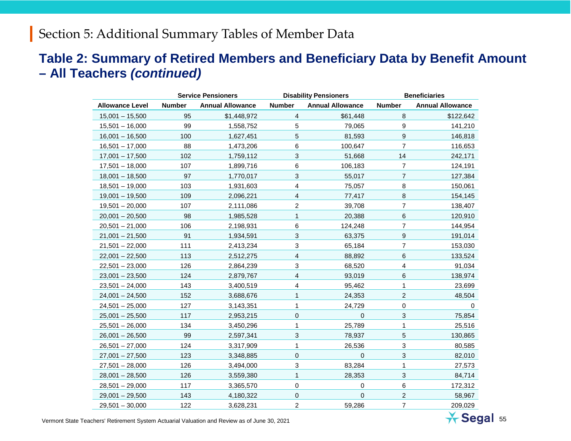#### **Table 2: Summary of Retired Members and Beneficiary Data by Benefit Amount – All Teachers** *(continued)*

|                        | <b>Service Pensioners</b> |                         |                | <b>Disability Pensioners</b> | <b>Beneficiaries</b>      |                         |  |
|------------------------|---------------------------|-------------------------|----------------|------------------------------|---------------------------|-------------------------|--|
| <b>Allowance Level</b> | <b>Number</b>             | <b>Annual Allowance</b> | <b>Number</b>  | <b>Annual Allowance</b>      | <b>Number</b>             | <b>Annual Allowance</b> |  |
| $15,001 - 15,500$      | 95                        | \$1,448,972             | 4              | \$61,448                     | 8                         | \$122,642               |  |
| $15,501 - 16,000$      | 99                        | 1,558,752               | 5              | 79,065                       | 9                         | 141,210                 |  |
| $16,001 - 16,500$      | 100                       | 1,627,451               | 5              | 81,593                       | $\boldsymbol{9}$          | 146,818                 |  |
| $16,501 - 17,000$      | 88                        | 1,473,206               | 6              | 100,647                      | $\overline{7}$            | 116,653                 |  |
| $17,001 - 17,500$      | 102                       | 1,759,112               | 3              | 51,668                       | 14                        | 242,171                 |  |
| $17,501 - 18,000$      | 107                       | 1,899,716               | 6              | 106,183                      | $\overline{7}$            | 124,191                 |  |
| $18,001 - 18,500$      | 97                        | 1,770,017               | 3              | 55,017                       | $\overline{7}$            | 127,384                 |  |
| $18,501 - 19,000$      | 103                       | 1,931,603               | 4              | 75,057                       | 8                         | 150,061                 |  |
| $19,001 - 19,500$      | 109                       | 2,096,221               | 4              | 77,417                       | $\bf 8$                   | 154,145                 |  |
| $19,501 - 20,000$      | 107                       | 2,111,086               | $\overline{c}$ | 39,708                       | $\overline{7}$            | 138,407                 |  |
| $20,001 - 20,500$      | 98                        | 1,985,528               | 1              | 20,388                       | 6                         | 120,910                 |  |
| $20,501 - 21,000$      | 106                       | 2,198,931               | 6              | 124,248                      | $\overline{7}$            | 144,954                 |  |
| $21,001 - 21,500$      | 91                        | 1,934,591               | 3              | 63,375                       | $\boldsymbol{9}$          | 191,014                 |  |
| $21,501 - 22,000$      | 111                       | 2,413,234               | 3              | 65,184                       | 7                         | 153,030                 |  |
| $22,001 - 22,500$      | 113                       | 2,512,275               | $\overline{4}$ | 88,892                       | 6                         | 133,524                 |  |
| $22,501 - 23,000$      | 126                       | 2,864,239               | 3              | 68,520                       | 4                         | 91,034                  |  |
| $23,001 - 23,500$      | 124                       | 2,879,767               | 4              | 93,019                       | 6                         | 138,974                 |  |
| $23,501 - 24,000$      | 143                       | 3,400,519               | 4              | 95,462                       | 1                         | 23,699                  |  |
| $24,001 - 24,500$      | 152                       | 3,688,676               | 1              | 24,353                       | $\boldsymbol{2}$          | 48,504                  |  |
| $24,501 - 25,000$      | 127                       | 3,143,351               | 1              | 24,729                       | $\pmb{0}$                 | 0                       |  |
| $25,001 - 25,500$      | 117                       | 2,953,215               | $\mathbf 0$    | $\mathbf 0$                  | $\mathfrak{S}$            | 75,854                  |  |
| $25,501 - 26,000$      | 134                       | 3,450,296               | 1              | 25,789                       | 1                         | 25,516                  |  |
| $26,001 - 26,500$      | 99                        | 2,597,341               | 3              | 78,937                       | 5                         | 130,865                 |  |
| $26,501 - 27,000$      | 124                       | 3,317,909               | 1              | 26,536                       | $\sqrt{3}$                | 80,585                  |  |
| $27,001 - 27,500$      | 123                       | 3,348,885               | 0              | 0                            | $\ensuremath{\mathsf{3}}$ | 82,010                  |  |
| $27,501 - 28,000$      | 126                       | 3,494,000               | 3              | 83,284                       | $\mathbf{1}$              | 27,573                  |  |
| $28,001 - 28,500$      | 126                       | 3,559,380               | $\mathbf{1}$   | 28,353                       | $\mathfrak{S}$            | 84,714                  |  |
| $28,501 - 29,000$      | 117                       | 3,365,570               | 0              | 0                            | 6                         | 172,312                 |  |
| $29,001 - 29,500$      | 143                       | 4,180,322               | $\Omega$       | $\Omega$                     | $\overline{c}$            | 58,967                  |  |
| $29,501 - 30,000$      | 122                       | 3,628,231               | $\overline{2}$ | 59,286                       | $\overline{7}$            | 209,029                 |  |

Vermont State Teachers' Retirement System Actuarial Valuation and Review as of June 30, 2021 55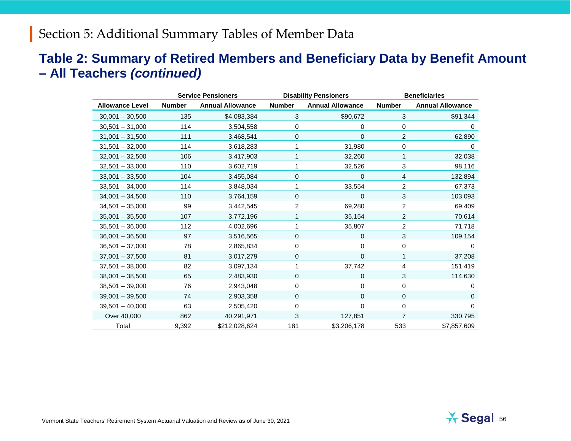#### **Table 2: Summary of Retired Members and Beneficiary Data by Benefit Amount – All Teachers** *(continued)*

|                        | <b>Service Pensioners</b> |                         |               | <b>Disability Pensioners</b> | <b>Beneficiaries</b> |                         |  |
|------------------------|---------------------------|-------------------------|---------------|------------------------------|----------------------|-------------------------|--|
| <b>Allowance Level</b> | <b>Number</b>             | <b>Annual Allowance</b> | <b>Number</b> | <b>Annual Allowance</b>      | <b>Number</b>        | <b>Annual Allowance</b> |  |
| $30,001 - 30,500$      | 135                       | \$4,083,384             | 3             | \$90,672                     | $\sqrt{3}$           | \$91,344                |  |
| $30,501 - 31,000$      | 114                       | 3,504,558               | 0             | 0                            | 0                    | 0                       |  |
| $31,001 - 31,500$      | 111                       | 3,468,541               | 0             | 0                            | $\overline{c}$       | 62,890                  |  |
| $31,501 - 32,000$      | 114                       | 3,618,283               |               | 31,980                       | 0                    | 0                       |  |
| $32,001 - 32,500$      | 106                       | 3,417,903               |               | 32,260                       | 1                    | 32,038                  |  |
| $32,501 - 33,000$      | 110                       | 3,602,719               |               | 32,526                       | 3                    | 98,116                  |  |
| $33,001 - 33,500$      | 104                       | 3,455,084               | 0             | 0                            | 4                    | 132,894                 |  |
| $33,501 - 34,000$      | 114                       | 3,848,034               | 1             | 33,554                       | $\overline{2}$       | 67,373                  |  |
| $34,001 - 34,500$      | 110                       | 3,764,159               | 0             | 0                            | 3                    | 103,093                 |  |
| $34,501 - 35,000$      | 99                        | 3,442,545               | 2             | 69,280                       | $\overline{c}$       | 69,409                  |  |
| $35,001 - 35,500$      | 107                       | 3,772,196               |               | 35,154                       | $\overline{c}$       | 70,614                  |  |
| $35,501 - 36,000$      | 112                       | 4,002,696               | 1             | 35,807                       | 2                    | 71,718                  |  |
| $36,001 - 36,500$      | 97                        | 3,516,565               | 0             | 0                            | 3                    | 109,154                 |  |
| $36,501 - 37,000$      | 78                        | 2,865,834               | 0             | 0                            | 0                    | 0                       |  |
| $37,001 - 37,500$      | 81                        | 3,017,279               | 0             | 0                            | 1                    | 37,208                  |  |
| $37,501 - 38,000$      | 82                        | 3,097,134               | 1             | 37,742                       | 4                    | 151,419                 |  |
| $38,001 - 38,500$      | 65                        | 2,483,930               | 0             | 0                            | 3                    | 114,630                 |  |
| $38,501 - 39,000$      | 76                        | 2,943,048               | 0             | 0                            | 0                    | 0                       |  |
| $39,001 - 39,500$      | 74                        | 2,903,358               | 0             | $\mathbf 0$                  | 0                    | $\mathbf 0$             |  |
| $39,501 - 40,000$      | 63                        | 2,505,420               | 0             | 0                            | 0                    | $\Omega$                |  |
| Over 40,000            | 862                       | 40,291,971              | 3             | 127,851                      | $\overline{7}$       | 330,795                 |  |
| Total                  | 9,392                     | \$212,028,624           | 181           | \$3,206,178                  | 533                  | \$7,857,609             |  |

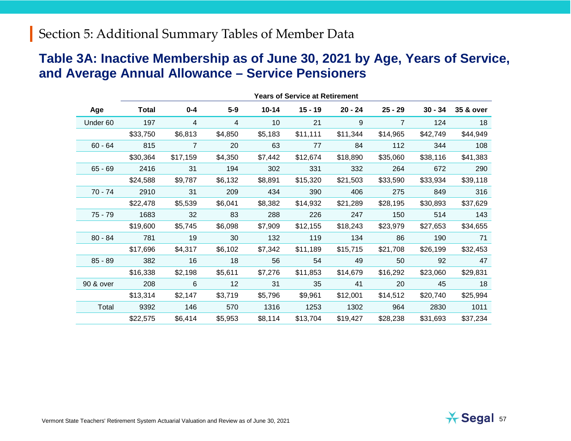#### **Table 3A: Inactive Membership as of June 30, 2021 by Age, Years of Service, and Average Annual Allowance – Service Pensioners**

|           | <b>Years of Service at Retirement</b> |                |         |           |           |           |           |           |           |
|-----------|---------------------------------------|----------------|---------|-----------|-----------|-----------|-----------|-----------|-----------|
| Age       | <b>Total</b>                          | $0 - 4$        | $5-9$   | $10 - 14$ | $15 - 19$ | $20 - 24$ | $25 - 29$ | $30 - 34$ | 35 & over |
| Under 60  | 197                                   | 4              | 4       | 10        | 21        | 9         | 7         | 124       | 18        |
|           | \$33,750                              | \$6,813        | \$4,850 | \$5,183   | \$11,111  | \$11,344  | \$14,965  | \$42,749  | \$44,949  |
| $60 - 64$ | 815                                   | $\overline{7}$ | 20      | 63        | 77        | 84        | 112       | 344       | 108       |
|           | \$30,364                              | \$17,159       | \$4,350 | \$7,442   | \$12,674  | \$18,890  | \$35,060  | \$38,116  | \$41,383  |
| $65 - 69$ | 2416                                  | 31             | 194     | 302       | 331       | 332       | 264       | 672       | 290       |
|           | \$24,588                              | \$9,787        | \$6,132 | \$8,891   | \$15,320  | \$21,503  | \$33,590  | \$33,934  | \$39,118  |
| $70 - 74$ | 2910                                  | 31             | 209     | 434       | 390       | 406       | 275       | 849       | 316       |
|           | \$22,478                              | \$5,539        | \$6,041 | \$8,382   | \$14,932  | \$21,289  | \$28,195  | \$30,893  | \$37,629  |
| $75 - 79$ | 1683                                  | 32             | 83      | 288       | 226       | 247       | 150       | 514       | 143       |
|           | \$19,600                              | \$5,745        | \$6,098 | \$7,909   | \$12,155  | \$18,243  | \$23,979  | \$27,653  | \$34,655  |
| $80 - 84$ | 781                                   | 19             | 30      | 132       | 119       | 134       | 86        | 190       | 71        |
|           | \$17,696                              | \$4,317        | \$6,102 | \$7,342   | \$11,189  | \$15,715  | \$21,708  | \$26,199  | \$32,453  |
| $85 - 89$ | 382                                   | 16             | 18      | 56        | 54        | 49        | 50        | 92        | 47        |
|           | \$16,338                              | \$2,198        | \$5,611 | \$7,276   | \$11,853  | \$14,679  | \$16,292  | \$23,060  | \$29,831  |
| 90 & over | 208                                   | 6              | 12      | 31        | 35        | 41        | 20        | 45        | 18        |
|           | \$13,314                              | \$2,147        | \$3,719 | \$5,796   | \$9,961   | \$12,001  | \$14,512  | \$20,740  | \$25,994  |
| Total     | 9392                                  | 146            | 570     | 1316      | 1253      | 1302      | 964       | 2830      | 1011      |
|           | \$22,575                              | \$6,414        | \$5,953 | \$8,114   | \$13,704  | \$19,427  | \$28,238  | \$31,693  | \$37,234  |